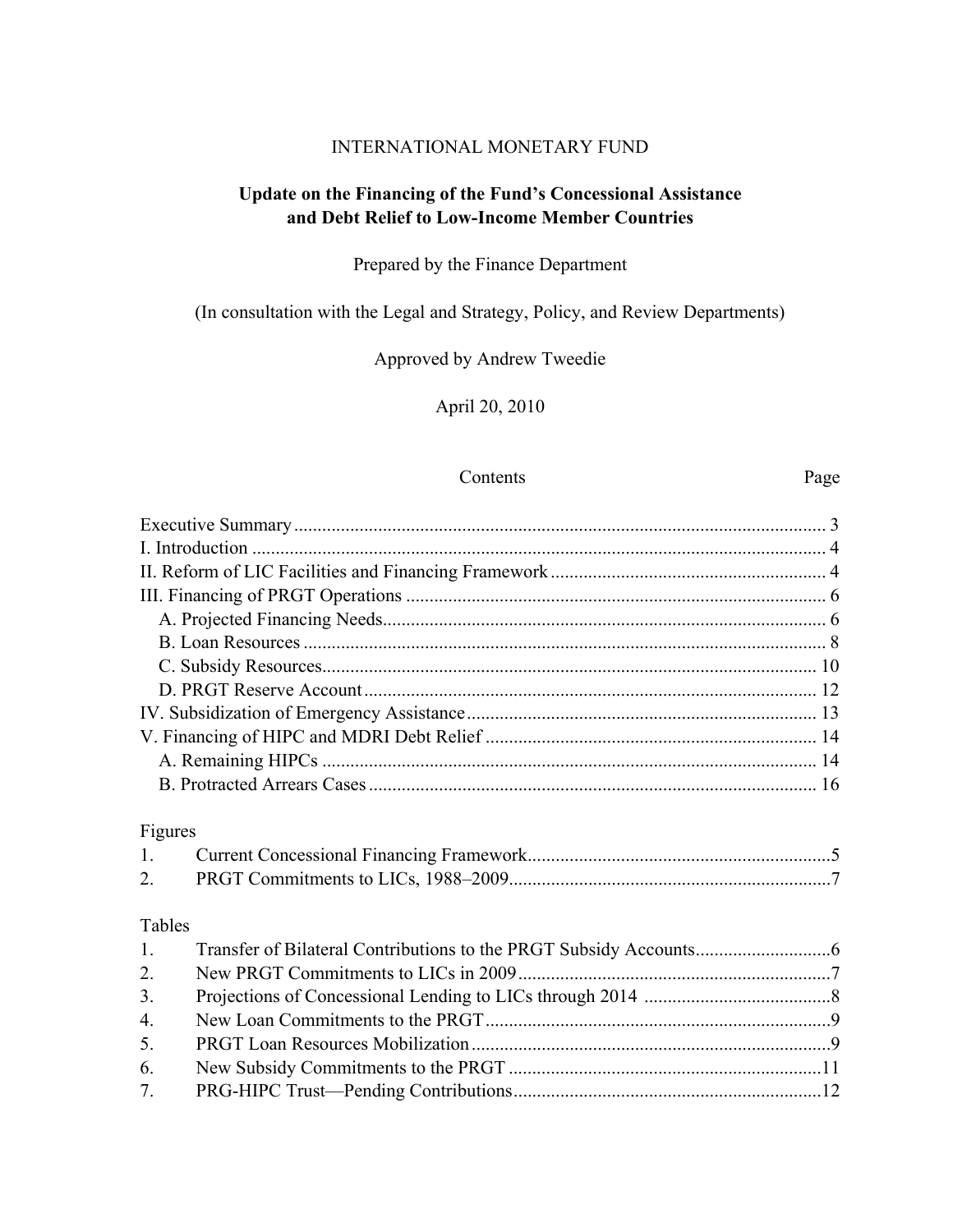## INTERNATIONAL MONETARY FUND

## **Update on the Financing of the Fund's Concessional Assistance and Debt Relief to Low-Income Member Countries**

# Prepared by the Finance Department

# (In consultation with the Legal and Strategy, Policy, and Review Departments)

## Approved by Andrew Tweedie

## April 20, 2010

#### Contents Page

| Figures          |  |
|------------------|--|
| $1_{\cdot}$      |  |
| 2.               |  |
| Tables           |  |
| 1.               |  |
| 2.               |  |
| 3 <sub>1</sub>   |  |
| $\overline{4}$ . |  |
| 5.               |  |
| 6.               |  |
| 7.               |  |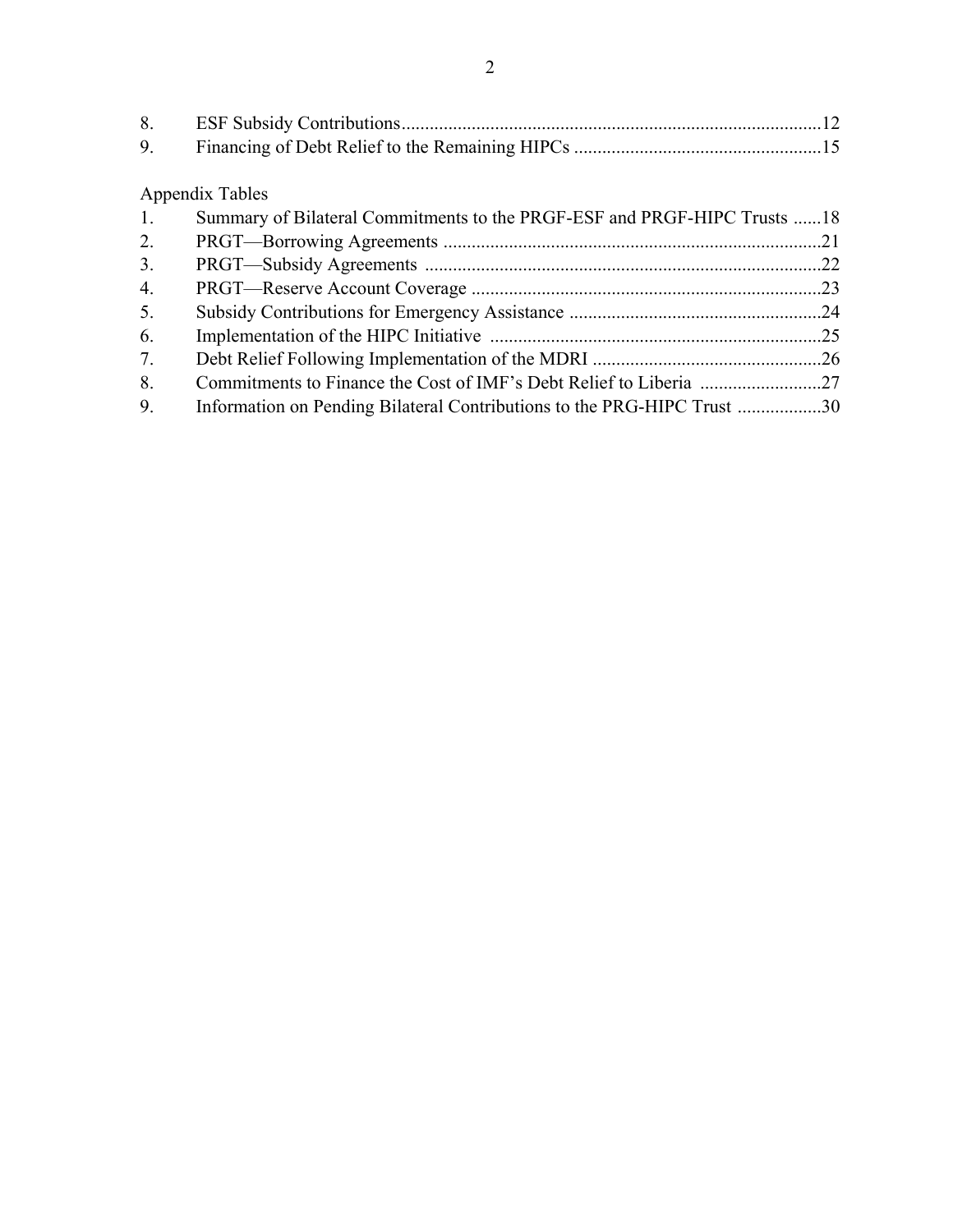Appendix Tables

| 1. | Summary of Bilateral Commitments to the PRGF-ESF and PRGF-HIPC Trusts 18 |  |
|----|--------------------------------------------------------------------------|--|
| 2. |                                                                          |  |
| 3. |                                                                          |  |
| 4. |                                                                          |  |
| 5. |                                                                          |  |
| 6. |                                                                          |  |
| 7. |                                                                          |  |
| 8. |                                                                          |  |
| 9. | Information on Pending Bilateral Contributions to the PRG-HIPC Trust 30  |  |
|    |                                                                          |  |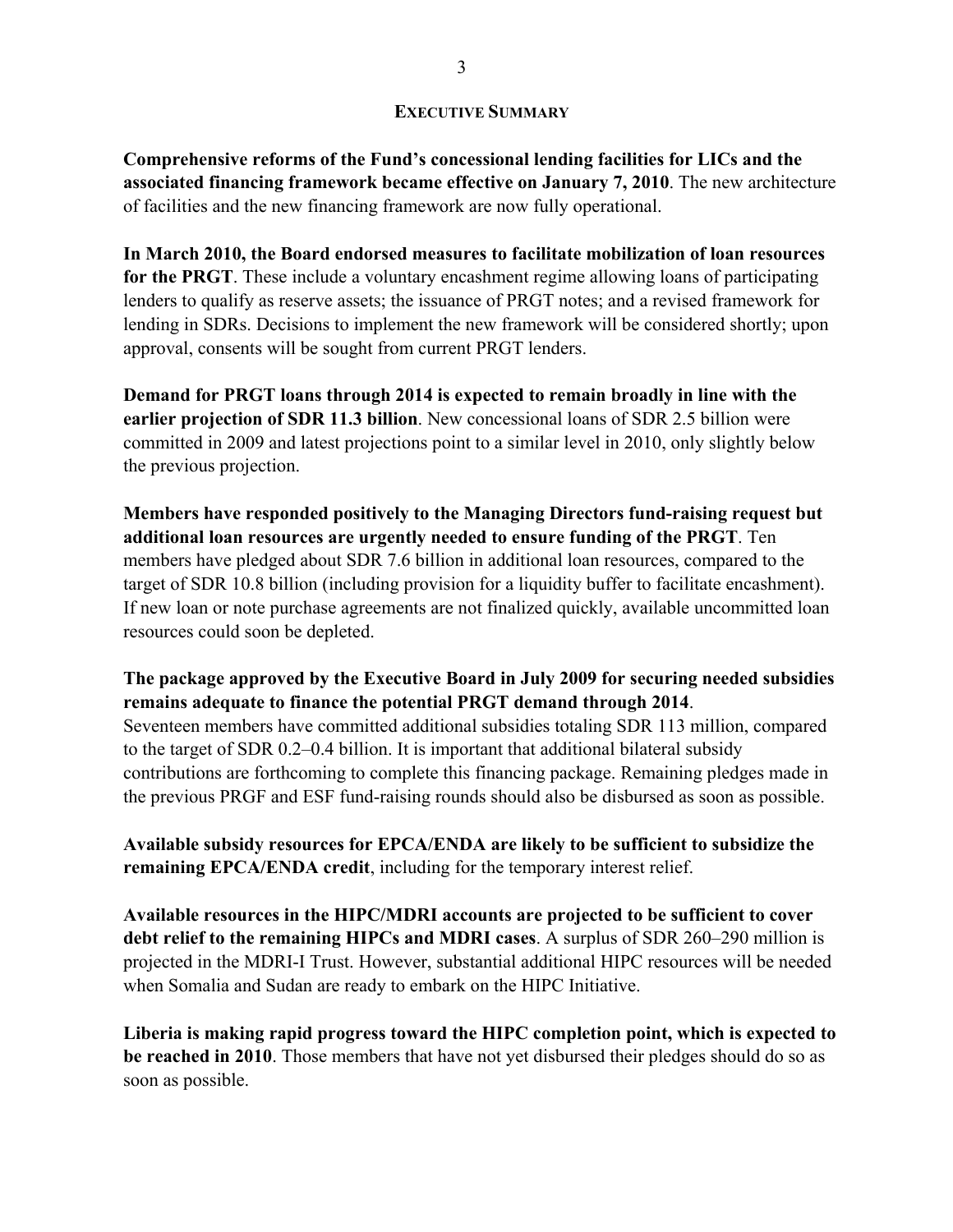### **EXECUTIVE SUMMARY**

**Comprehensive reforms of the Fund's concessional lending facilities for LICs and the associated financing framework became effective on January 7, 2010**. The new architecture of facilities and the new financing framework are now fully operational.

**In March 2010, the Board endorsed measures to facilitate mobilization of loan resources for the PRGT**. These include a voluntary encashment regime allowing loans of participating lenders to qualify as reserve assets; the issuance of PRGT notes; and a revised framework for lending in SDRs. Decisions to implement the new framework will be considered shortly; upon approval, consents will be sought from current PRGT lenders.

**Demand for PRGT loans through 2014 is expected to remain broadly in line with the earlier projection of SDR 11.3 billion**. New concessional loans of SDR 2.5 billion were committed in 2009 and latest projections point to a similar level in 2010, only slightly below the previous projection.

**Members have responded positively to the Managing Directors fund-raising request but additional loan resources are urgently needed to ensure funding of the PRGT**. Ten members have pledged about SDR 7.6 billion in additional loan resources, compared to the target of SDR 10.8 billion (including provision for a liquidity buffer to facilitate encashment). If new loan or note purchase agreements are not finalized quickly, available uncommitted loan resources could soon be depleted.

## **The package approved by the Executive Board in July 2009 for securing needed subsidies remains adequate to finance the potential PRGT demand through 2014**.

Seventeen members have committed additional subsidies totaling SDR 113 million, compared to the target of SDR 0.2–0.4 billion. It is important that additional bilateral subsidy contributions are forthcoming to complete this financing package. Remaining pledges made in the previous PRGF and ESF fund-raising rounds should also be disbursed as soon as possible.

**Available subsidy resources for EPCA/ENDA are likely to be sufficient to subsidize the remaining EPCA/ENDA credit**, including for the temporary interest relief.

**Available resources in the HIPC/MDRI accounts are projected to be sufficient to cover debt relief to the remaining HIPCs and MDRI cases**. A surplus of SDR 260–290 million is projected in the MDRI-I Trust. However, substantial additional HIPC resources will be needed when Somalia and Sudan are ready to embark on the HIPC Initiative.

**Liberia is making rapid progress toward the HIPC completion point, which is expected to be reached in 2010**. Those members that have not yet disbursed their pledges should do so as soon as possible.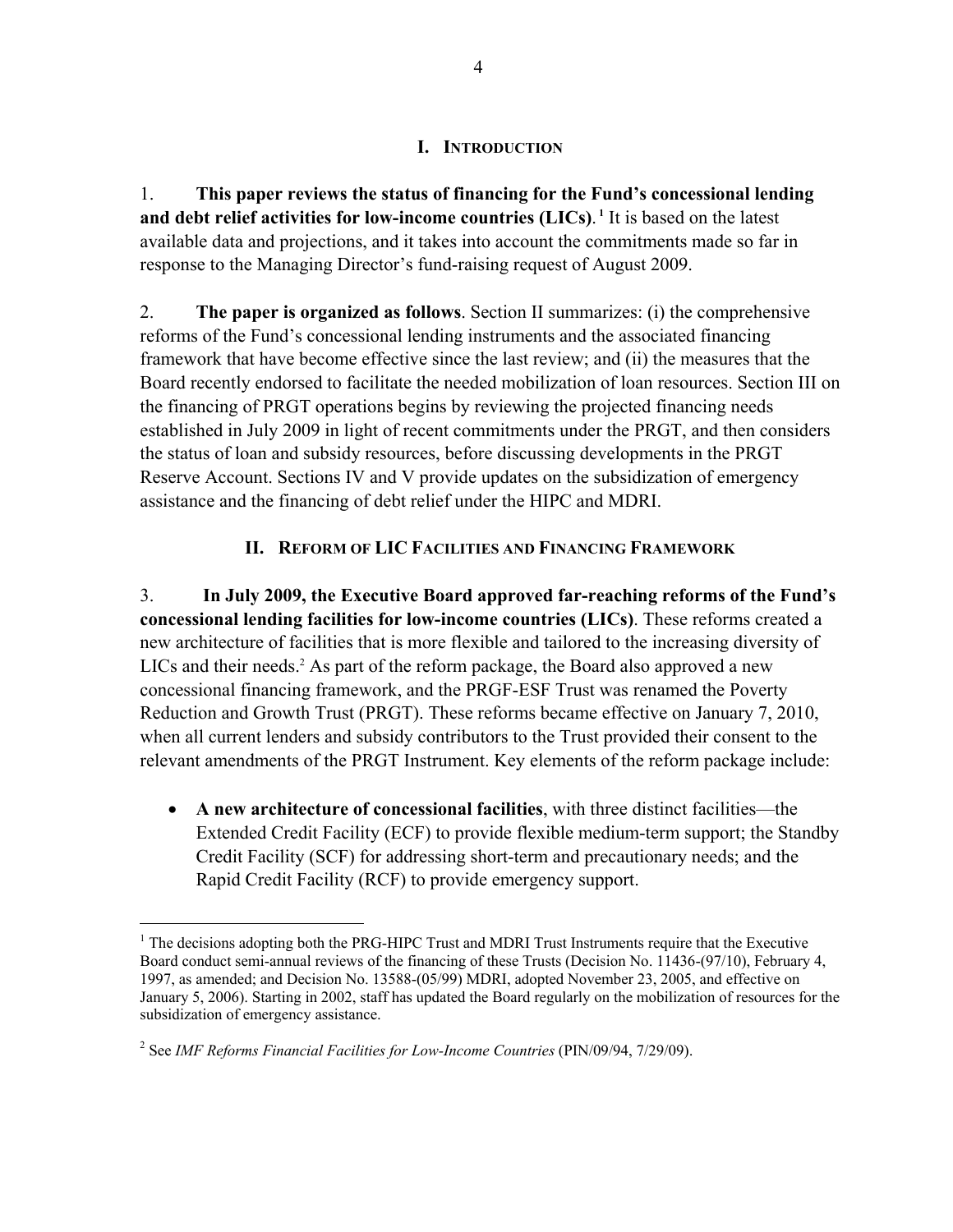## **I. INTRODUCTION**

1. **This paper reviews the status of financing for the Fund's concessional lending and debt relief activities for low-income countries (LICs)**. **<sup>1</sup>** It is based on the latest available data and projections, and it takes into account the commitments made so far in response to the Managing Director's fund-raising request of August 2009.

2. **The paper is organized as follows**. Section II summarizes: (i) the comprehensive reforms of the Fund's concessional lending instruments and the associated financing framework that have become effective since the last review; and (ii) the measures that the Board recently endorsed to facilitate the needed mobilization of loan resources. Section III on the financing of PRGT operations begins by reviewing the projected financing needs established in July 2009 in light of recent commitments under the PRGT, and then considers the status of loan and subsidy resources, before discussing developments in the PRGT Reserve Account. Sections IV and V provide updates on the subsidization of emergency assistance and the financing of debt relief under the HIPC and MDRI.

# **II. REFORM OF LIC FACILITIES AND FINANCING FRAMEWORK**

3. **In July 2009, the Executive Board approved far-reaching reforms of the Fund's concessional lending facilities for low-income countries (LICs)**. These reforms created a new architecture of facilities that is more flexible and tailored to the increasing diversity of LICs and their needs.<sup>2</sup> As part of the reform package, the Board also approved a new concessional financing framework, and the PRGF-ESF Trust was renamed the Poverty Reduction and Growth Trust (PRGT). These reforms became effective on January 7, 2010, when all current lenders and subsidy contributors to the Trust provided their consent to the relevant amendments of the PRGT Instrument. Key elements of the reform package include:

 **A new architecture of concessional facilities**, with three distinct facilities—the Extended Credit Facility (ECF) to provide flexible medium-term support; the Standby Credit Facility (SCF) for addressing short-term and precautionary needs; and the Rapid Credit Facility (RCF) to provide emergency support.

<sup>&</sup>lt;sup>1</sup> The decisions adopting both the PRG-HIPC Trust and MDRI Trust Instruments require that the Executive Board conduct semi-annual reviews of the financing of these Trusts (Decision No. 11436-(97/10), February 4, 1997, as amended; and Decision No. 13588-(05/99) MDRI, adopted November 23, 2005, and effective on January 5, 2006). Starting in 2002, staff has updated the Board regularly on the mobilization of resources for the subsidization of emergency assistance.

<sup>&</sup>lt;sup>2</sup> See *IMF Reforms Financial Facilities for Low-Income Countries* (PIN/09/94, 7/29/09).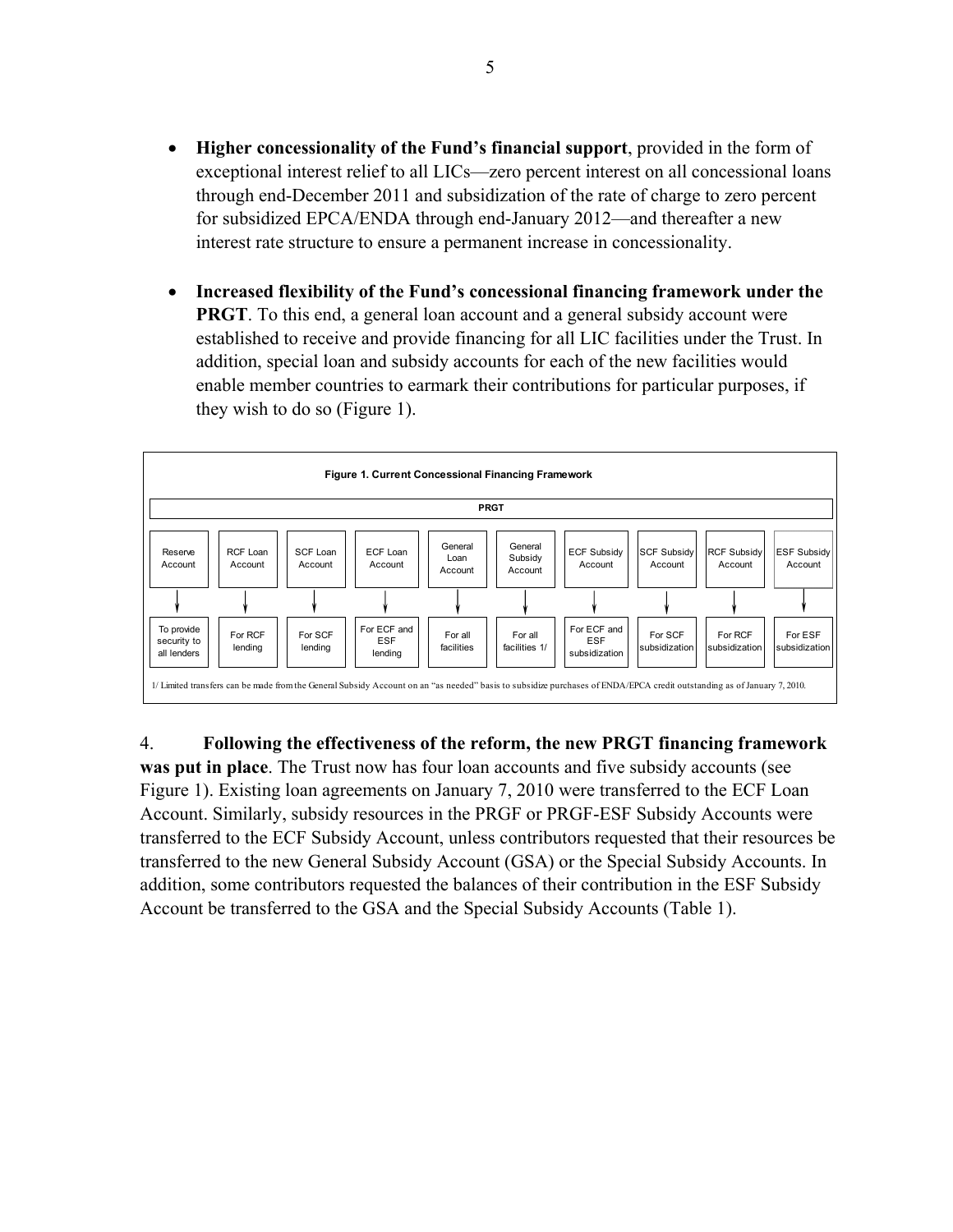- **Higher concessionality of the Fund's financial support**, provided in the form of exceptional interest relief to all LICs—zero percent interest on all concessional loans through end-December 2011 and subsidization of the rate of charge to zero percent for subsidized EPCA/ENDA through end-January 2012—and thereafter a new interest rate structure to ensure a permanent increase in concessionality.
- **Increased flexibility of the Fund's concessional financing framework under the PRGT**. To this end, a general loan account and a general subsidy account were established to receive and provide financing for all LIC facilities under the Trust. In addition, special loan and subsidy accounts for each of the new facilities would enable member countries to earmark their contributions for particular purposes, if they wish to do so (Figure 1).



## 4. **Following the effectiveness of the reform, the new PRGT financing framework**

**was put in place**. The Trust now has four loan accounts and five subsidy accounts (see Figure 1). Existing loan agreements on January 7, 2010 were transferred to the ECF Loan Account. Similarly, subsidy resources in the PRGF or PRGF-ESF Subsidy Accounts were transferred to the ECF Subsidy Account, unless contributors requested that their resources be transferred to the new General Subsidy Account (GSA) or the Special Subsidy Accounts. In addition, some contributors requested the balances of their contribution in the ESF Subsidy Account be transferred to the GSA and the Special Subsidy Accounts (Table 1).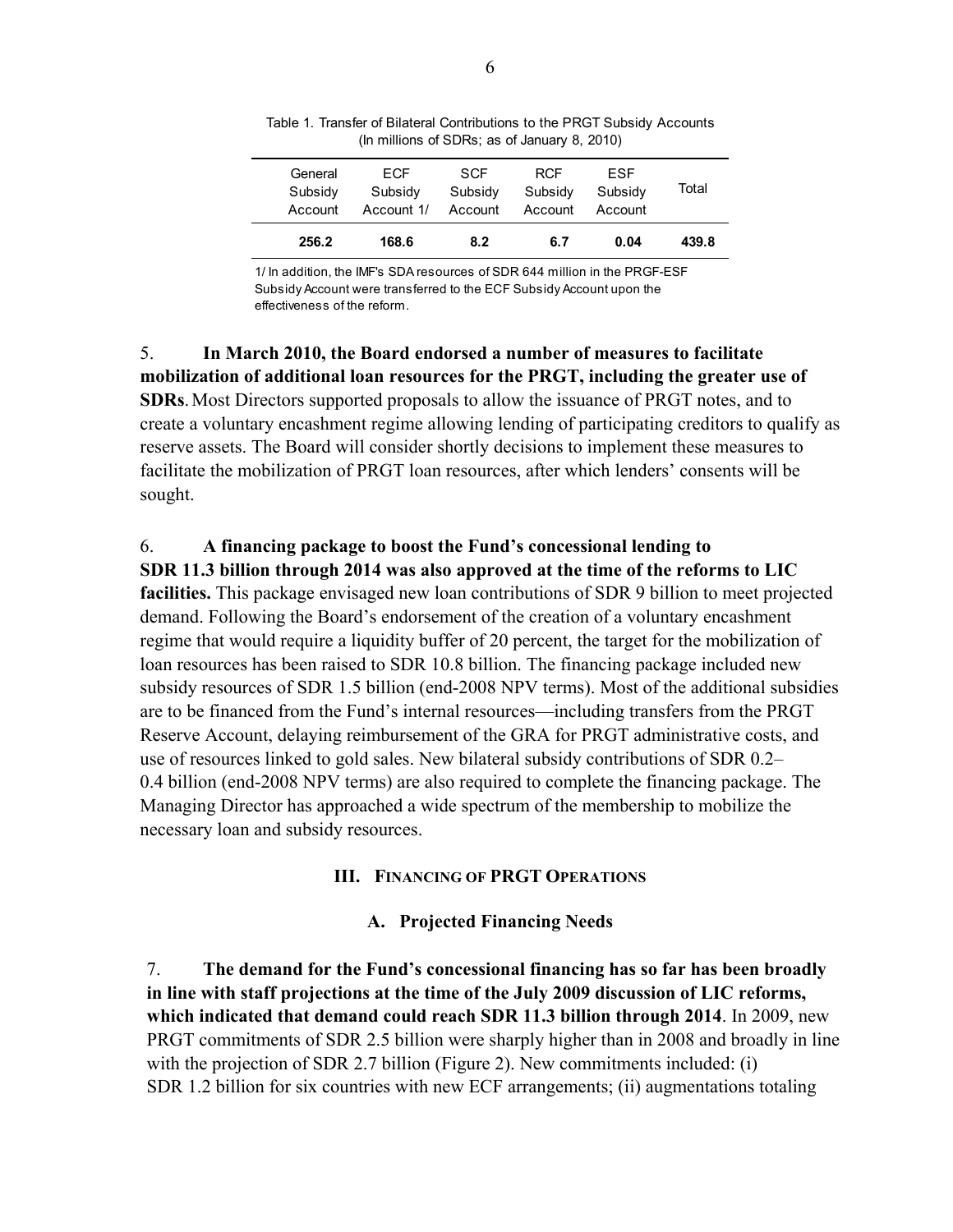| Account<br>256.2   | Account 1/<br>168.6 | Account<br>8.2        | Account<br>6.7        | Account<br>0.04       | 439.8 |
|--------------------|---------------------|-----------------------|-----------------------|-----------------------|-------|
| General<br>Subsidy | FCF<br>Subsidy      | <b>SCF</b><br>Subsidy | <b>RCF</b><br>Subsidy | <b>FSF</b><br>Subsidy | Total |

Table 1. Transfer of Bilateral Contributions to the PRGT Subsidy Accounts (In millions of SDRs; as of January 8, 2010)

1/ In addition, the IMF's SDA resources of SDR 644 million in the PRGF-ESF Subsidy Account were transferred to the ECF Subsidy Account upon the effectiveness of the reform.

5. **In March 2010, the Board endorsed a number of measures to facilitate mobilization of additional loan resources for the PRGT, including the greater use of SDRs**. Most Directors supported proposals to allow the issuance of PRGT notes, and to create a voluntary encashment regime allowing lending of participating creditors to qualify as reserve assets. The Board will consider shortly decisions to implement these measures to facilitate the mobilization of PRGT loan resources, after which lenders' consents will be sought.

## 6. **A financing package to boost the Fund's concessional lending to**

**SDR 11.3 billion through 2014 was also approved at the time of the reforms to LIC facilities.** This package envisaged new loan contributions of SDR 9 billion to meet projected demand. Following the Board's endorsement of the creation of a voluntary encashment regime that would require a liquidity buffer of 20 percent, the target for the mobilization of loan resources has been raised to SDR 10.8 billion. The financing package included new subsidy resources of SDR 1.5 billion (end-2008 NPV terms). Most of the additional subsidies are to be financed from the Fund's internal resources—including transfers from the PRGT Reserve Account, delaying reimbursement of the GRA for PRGT administrative costs, and use of resources linked to gold sales. New bilateral subsidy contributions of SDR 0.2– 0.4 billion (end-2008 NPV terms) are also required to complete the financing package. The Managing Director has approached a wide spectrum of the membership to mobilize the necessary loan and subsidy resources.

## **III. FINANCING OF PRGT OPERATIONS**

## **A. Projected Financing Needs**

7. **The demand for the Fund's concessional financing has so far has been broadly in line with staff projections at the time of the July 2009 discussion of LIC reforms, which indicated that demand could reach SDR 11.3 billion through 2014**. In 2009, new PRGT commitments of SDR 2.5 billion were sharply higher than in 2008 and broadly in line with the projection of SDR 2.7 billion (Figure 2). New commitments included: (i) SDR 1.2 billion for six countries with new ECF arrangements; (ii) augmentations totaling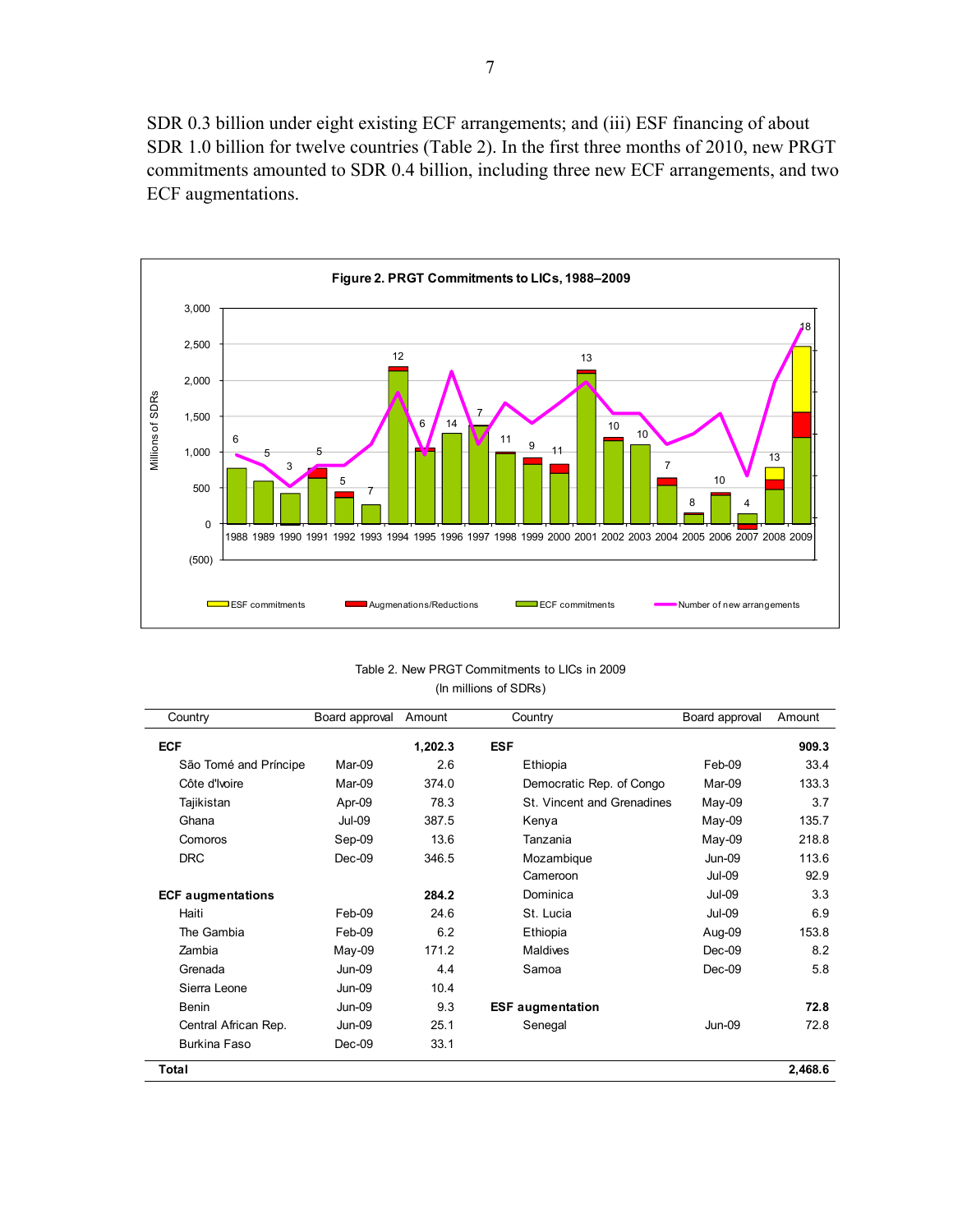SDR 0.3 billion under eight existing ECF arrangements; and (iii) ESF financing of about SDR 1.0 billion for twelve countries (Table 2). In the first three months of 2010, new PRGT commitments amounted to SDR 0.4 billion, including three new ECF arrangements, and two ECF augmentations.



| Table 2. New PRGT Commitments to LICs in 2009 |  |
|-----------------------------------------------|--|
| (In millions of SDRs)                         |  |

| Country                  | Board approval | Amount  | Country                    | Board approval | Amount  |
|--------------------------|----------------|---------|----------------------------|----------------|---------|
| <b>ECF</b>               |                | 1,202.3 | <b>ESF</b>                 |                | 909.3   |
| São Tomé and Príncipe    | Mar-09         | 2.6     | Ethiopia                   | Feb-09         | 33.4    |
| Côte d'Ivoire            | Mar-09         | 374.0   | Democratic Rep. of Congo   | Mar-09         | 133.3   |
| Tajikistan               | Apr-09         | 78.3    | St. Vincent and Grenadines | May-09         | 3.7     |
| Ghana                    | <b>Jul-09</b>  | 387.5   | Kenya                      | May-09         | 135.7   |
| Comoros                  | Sep-09         | 13.6    | Tanzania                   | May-09         | 218.8   |
| <b>DRC</b>               | Dec-09         | 346.5   | Mozambique                 | <b>Jun-09</b>  | 113.6   |
|                          |                |         | Cameroon                   | <b>Jul-09</b>  | 92.9    |
| <b>ECF</b> augmentations |                | 284.2   | Dominica                   | <b>Jul-09</b>  | 3.3     |
| Haiti                    | Feb-09         | 24.6    | St. Lucia                  | <b>Jul-09</b>  | 6.9     |
| The Gambia               | Feb-09         | 6.2     | Ethiopia                   | Aug-09         | 153.8   |
| Zambia                   | May-09         | 171.2   | <b>Maldives</b>            | Dec-09         | 8.2     |
| Grenada                  | <b>Jun-09</b>  | 4.4     | Samoa                      | Dec-09         | 5.8     |
| Sierra Leone             | <b>Jun-09</b>  | 10.4    |                            |                |         |
| <b>Benin</b>             | <b>Jun-09</b>  | 9.3     | <b>ESF</b> augmentation    |                | 72.8    |
| Central African Rep.     | <b>Jun-09</b>  | 25.1    | Senegal                    | <b>Jun-09</b>  | 72.8    |
| Burkina Faso             | $Dec-09$       | 33.1    |                            |                |         |
| Total                    |                |         |                            |                | 2,468.6 |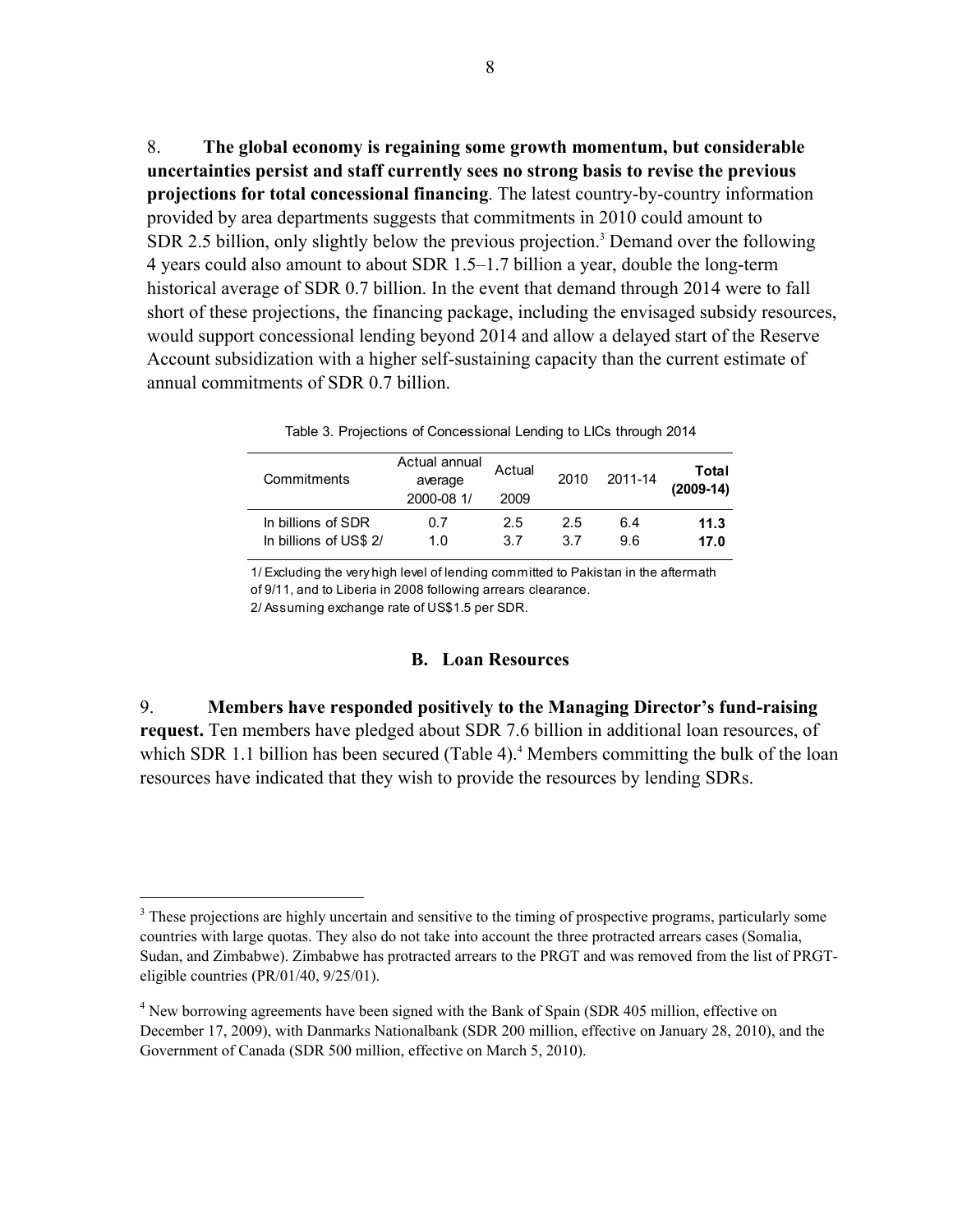8. **The global economy is regaining some growth momentum, but considerable uncertainties persist and staff currently sees no strong basis to revise the previous projections for total concessional financing**. The latest country-by-country information provided by area departments suggests that commitments in 2010 could amount to SDR 2.5 billion, only slightly below the previous projection.<sup>3</sup> Demand over the following 4 years could also amount to about SDR 1.5–1.7 billion a year, double the long-term historical average of SDR 0.7 billion. In the event that demand through 2014 were to fall short of these projections, the financing package, including the envisaged subsidy resources, would support concessional lending beyond 2014 and allow a delayed start of the Reserve Account subsidization with a higher self-sustaining capacity than the current estimate of annual commitments of SDR 0.7 billion.

| Commitments            | Actual annual<br>average<br>2000-08 1/ | Actual<br>2009 | 2010 | 2011-14 | Total<br>$(2009-14)$ |
|------------------------|----------------------------------------|----------------|------|---------|----------------------|
| In billions of SDR     | 0.7                                    | 2.5            | 2.5  | 6.4     | 11.3                 |
| In billions of US\$ 2/ | 1.0                                    | 37             | 37   | 9.6     | 17.0                 |

Table 3. Projections of Concessional Lending to LICs through 2014

1/ Excluding the very high level of lending committed to Pakistan in the aftermath of 9/11, and to Liberia in 2008 following arrears clearance.

2/ Assuming exchange rate of US\$1.5 per SDR.

 $\overline{a}$ 

#### **B. Loan Resources**

9. **Members have responded positively to the Managing Director's fund-raising request.** Ten members have pledged about SDR 7.6 billion in additional loan resources, of which SDR 1.1 billion has been secured (Table 4).<sup>4</sup> Members committing the bulk of the loan resources have indicated that they wish to provide the resources by lending SDRs.

<sup>&</sup>lt;sup>3</sup> These projections are highly uncertain and sensitive to the timing of prospective programs, particularly some countries with large quotas. They also do not take into account the three protracted arrears cases (Somalia, Sudan, and Zimbabwe). Zimbabwe has protracted arrears to the PRGT and was removed from the list of PRGTeligible countries (PR/01/40, 9/25/01).

<sup>&</sup>lt;sup>4</sup> New borrowing agreements have been signed with the Bank of Spain (SDR 405 million, effective on December 17, 2009), with Danmarks Nationalbank (SDR 200 million, effective on January 28, 2010), and the Government of Canada (SDR 500 million, effective on March 5, 2010).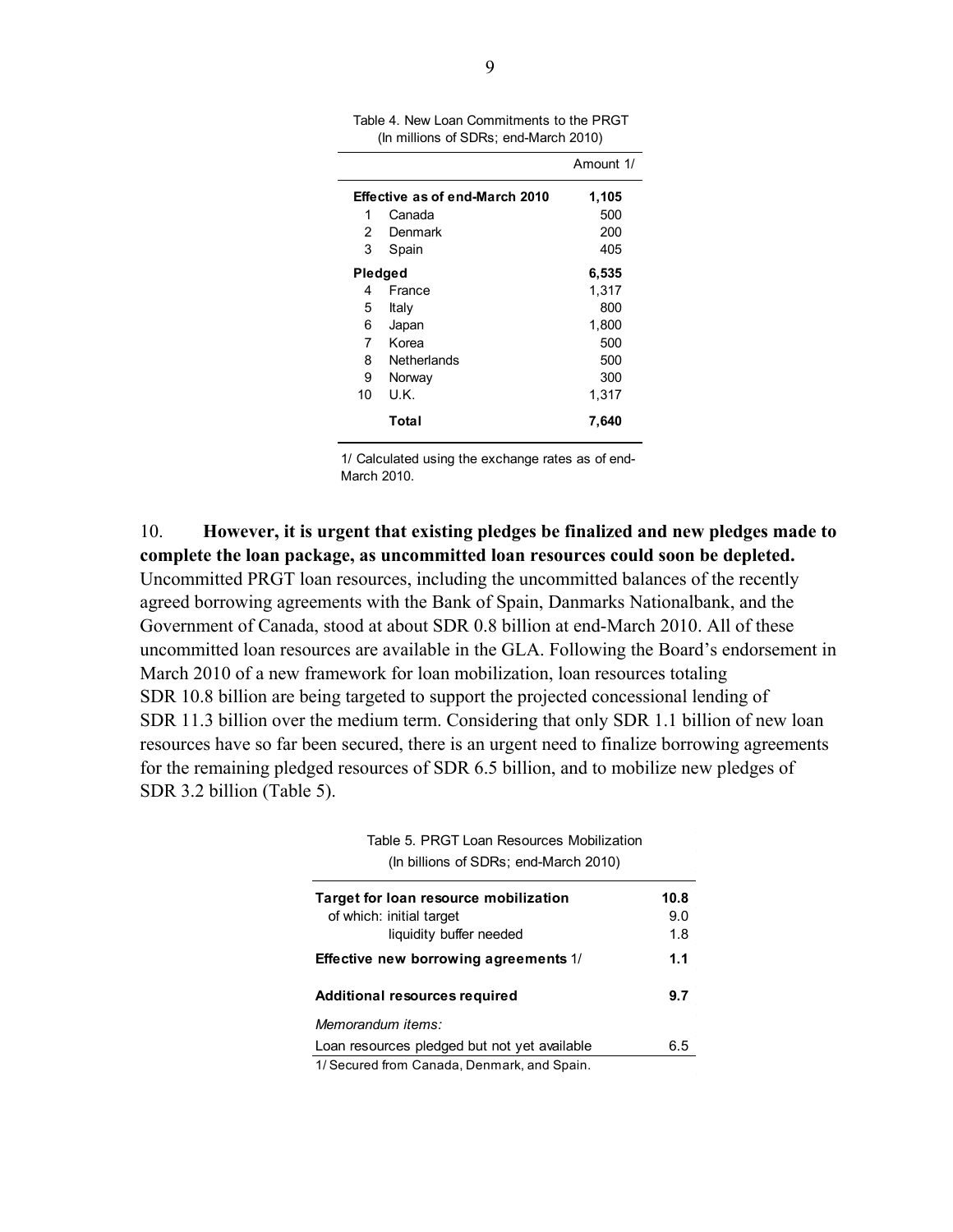|         |                                | Amount 1/ |
|---------|--------------------------------|-----------|
|         | Effective as of end-March 2010 | 1,105     |
| 1       | Canada                         | 500       |
| 2       | Denmark                        | 200       |
| 3       | Spain                          | 405       |
| Pledged |                                | 6,535     |
| 4       | France                         | 1,317     |
| 5       | Italy                          | 800       |
| 6       | Japan                          | 1,800     |
| 7       | Korea                          | 500       |
| 8       | Netherlands                    | 500       |
| 9       | Norway                         | 300       |
| 10      | U.K.                           | 1,317     |
|         | Total                          | 7,640     |

Table 4. New Loan Commitments to the PRGT (In millions of SDRs; end-March 2010)

1/ Calculated using the exchange rates as of end-March 2010.

10. **However, it is urgent that existing pledges be finalized and new pledges made to complete the loan package, as uncommitted loan resources could soon be depleted.**  Uncommitted PRGT loan resources, including the uncommitted balances of the recently agreed borrowing agreements with the Bank of Spain, Danmarks Nationalbank, and the Government of Canada, stood at about SDR 0.8 billion at end-March 2010. All of these uncommitted loan resources are available in the GLA. Following the Board's endorsement in March 2010 of a new framework for loan mobilization, loan resources totaling SDR 10.8 billion are being targeted to support the projected concessional lending of SDR 11.3 billion over the medium term. Considering that only SDR 1.1 billion of new loan resources have so far been secured, there is an urgent need to finalize borrowing agreements for the remaining pledged resources of SDR 6.5 billion, and to mobilize new pledges of SDR 3.2 billion (Table 5).

> **Target for loan resource mobilization 10.8**  of which: initial target 9.0 liquidity buffer needed 1.8 **Effective new borrowing agreements** 1/ **1.1 Additional resources required 9.7**  *Memorandum items:* Loan resources pledged but not yet available 6.5 Table 5. PRGT Loan Resources Mobilization (In billions of SDRs; end-March 2010) 1/ Secured from Canada, Denmark, and Spain.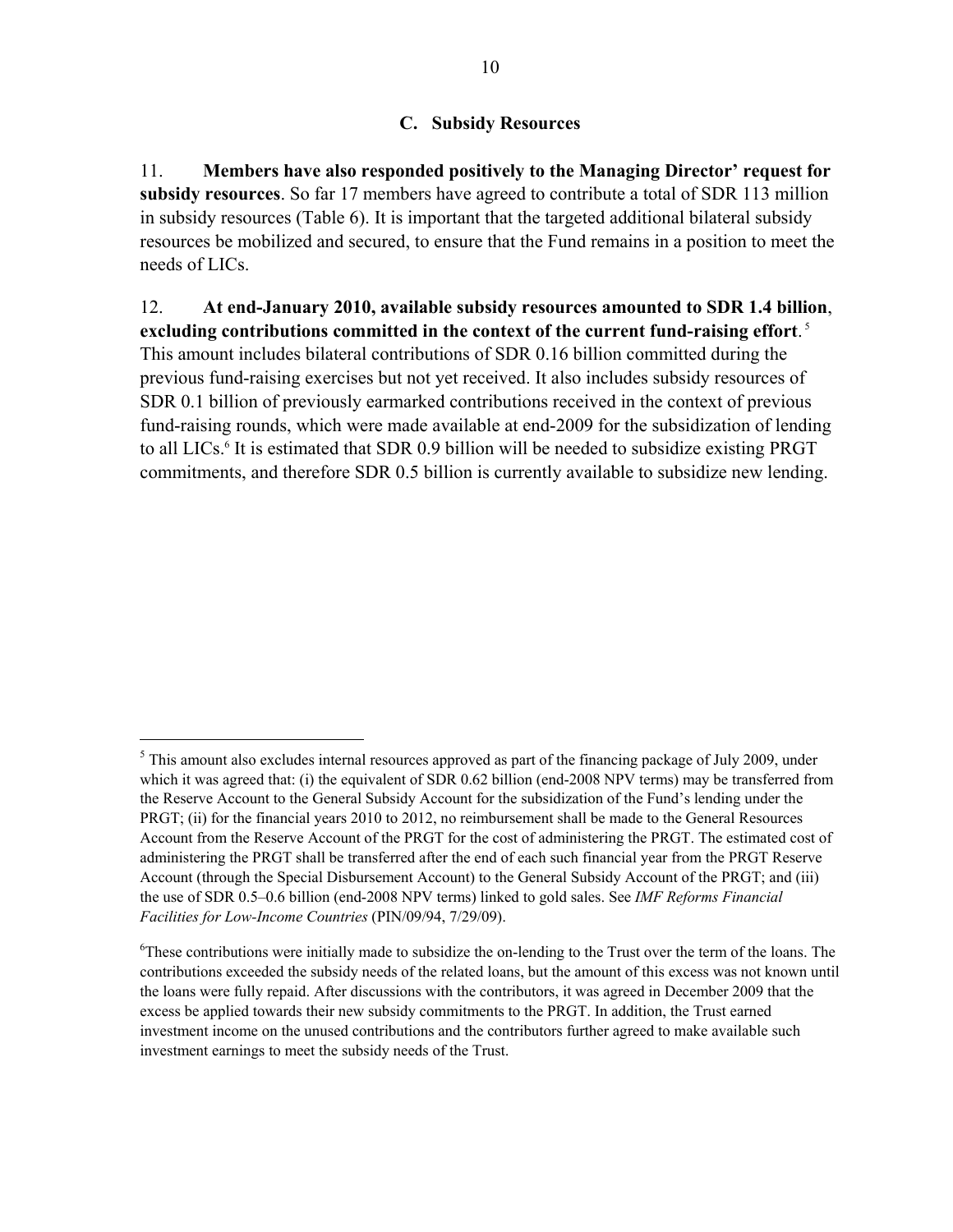## **C. Subsidy Resources**

11. **Members have also responded positively to the Managing Director' request for subsidy resources**. So far 17 members have agreed to contribute a total of SDR 113 million in subsidy resources (Table 6). It is important that the targeted additional bilateral subsidy resources be mobilized and secured, to ensure that the Fund remains in a position to meet the needs of LICs.

12. **At end-January 2010, available subsidy resources amounted to SDR 1.4 billion**, **excluding contributions committed in the context of the current fund-raising effort**. 5

This amount includes bilateral contributions of SDR 0.16 billion committed during the previous fund-raising exercises but not yet received. It also includes subsidy resources of SDR 0.1 billion of previously earmarked contributions received in the context of previous fund-raising rounds, which were made available at end-2009 for the subsidization of lending to all LICs.<sup>6</sup> It is estimated that SDR 0.9 billion will be needed to subsidize existing PRGT commitments, and therefore SDR 0.5 billion is currently available to subsidize new lending.

1

<sup>&</sup>lt;sup>5</sup> This amount also excludes internal resources approved as part of the financing package of July 2009, under which it was agreed that: (i) the equivalent of SDR 0.62 billion (end-2008 NPV terms) may be transferred from the Reserve Account to the General Subsidy Account for the subsidization of the Fund's lending under the PRGT; (ii) for the financial years 2010 to 2012, no reimbursement shall be made to the General Resources Account from the Reserve Account of the PRGT for the cost of administering the PRGT. The estimated cost of administering the PRGT shall be transferred after the end of each such financial year from the PRGT Reserve Account (through the Special Disbursement Account) to the General Subsidy Account of the PRGT; and (iii) the use of SDR 0.5–0.6 billion (end-2008 NPV terms) linked to gold sales. See *IMF Reforms Financial Facilities for Low-Income Countries* (PIN/09/94, 7/29/09).

<sup>&</sup>lt;sup>6</sup>These contributions were initially made to subsidize the on-lending to the Trust over the term of the loans. The contributions exceeded the subsidy needs of the related loans, but the amount of this excess was not known until the loans were fully repaid. After discussions with the contributors, it was agreed in December 2009 that the excess be applied towards their new subsidy commitments to the PRGT. In addition, the Trust earned investment income on the unused contributions and the contributors further agreed to make available such investment earnings to meet the subsidy needs of the Trust.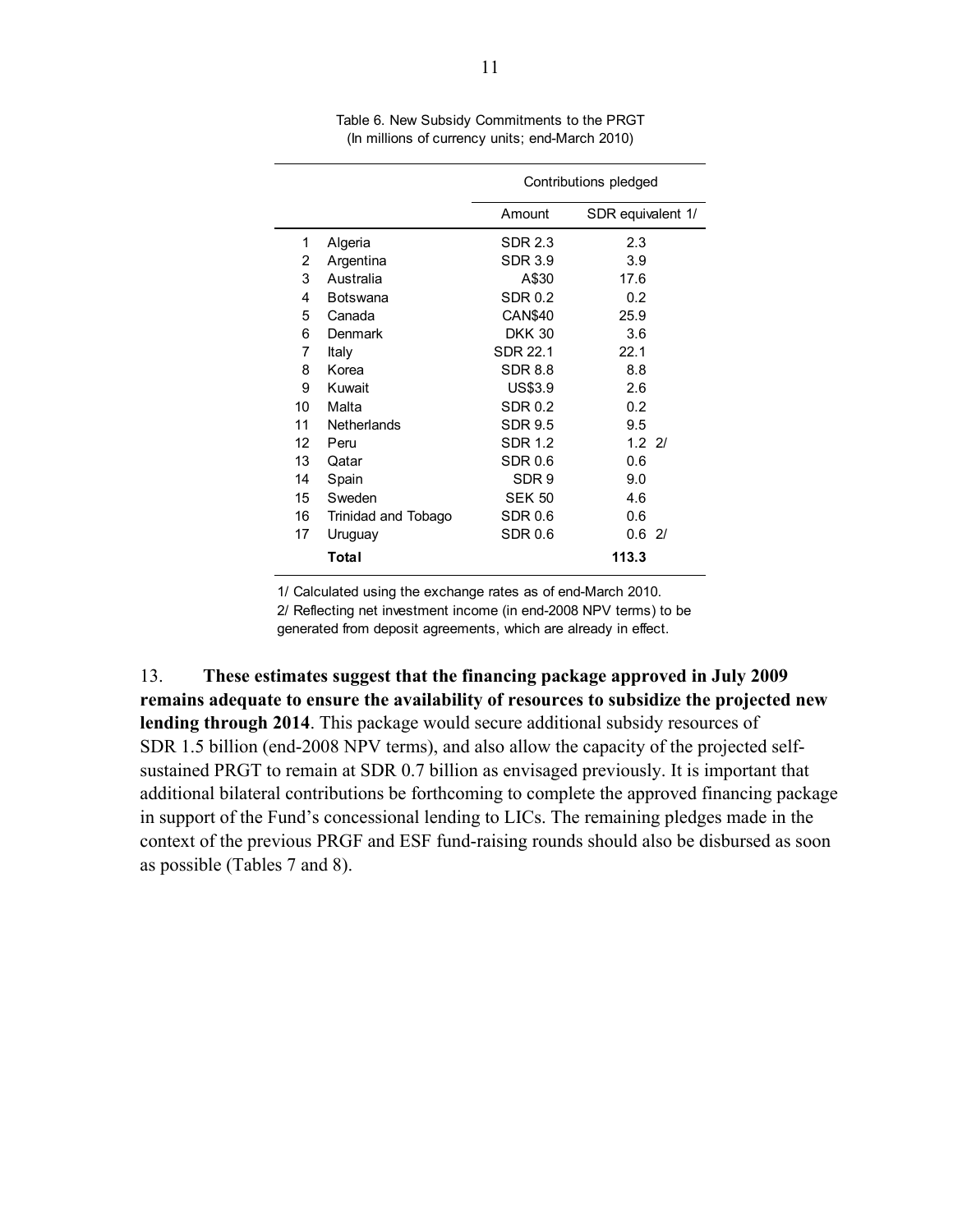|    |                     | Contributions pledged |                   |  |
|----|---------------------|-----------------------|-------------------|--|
|    |                     | Amount                | SDR equivalent 1/ |  |
| 1  | Algeria             | <b>SDR 2.3</b>        | 2.3               |  |
| 2  | Argentina           | <b>SDR 3.9</b>        | 3.9               |  |
| 3  | Australia           | A\$30                 | 17.6              |  |
| 4  | <b>Botswana</b>     | <b>SDR 0.2</b>        | 0.2               |  |
| 5  | Canada              | <b>CAN\$40</b>        | 25.9              |  |
| 6  | Denmark             | <b>DKK 30</b>         | 3.6               |  |
| 7  | Italy               | SDR 22.1              | 22.1              |  |
| 8  | Korea               | <b>SDR 8.8</b>        | 8.8               |  |
| 9  | Kuwait              | US\$3.9               | 2.6               |  |
| 10 | Malta               | <b>SDR 0.2</b>        | 0.2               |  |
| 11 | <b>Netherlands</b>  | <b>SDR 9.5</b>        | 9.5               |  |
| 12 | Peru                | <b>SDR 1.2</b>        | $1.2$ 2/          |  |
| 13 | Qatar               | <b>SDR 0.6</b>        | 0.6               |  |
| 14 | Spain               | SDR <sub>9</sub>      | 9.0               |  |
| 15 | Sweden              | <b>SEK 50</b>         | 4.6               |  |
| 16 | Trinidad and Tobago | SDR 0.6               | 0.6               |  |
| 17 | Uruguay             | <b>SDR 0.6</b>        | 0.62/             |  |
|    | Total               |                       | 113.3             |  |

Table 6. New Subsidy Commitments to the PRGT (In millions of currency units; end-March 2010)

1/ Calculated using the exchange rates as of end-March 2010.

2/ Reflecting net investment income (in end-2008 NPV terms) to be

generated from deposit agreements, which are already in effect.

13. **These estimates suggest that the financing package approved in July 2009 remains adequate to ensure the availability of resources to subsidize the projected new lending through 2014**. This package would secure additional subsidy resources of SDR 1.5 billion (end-2008 NPV terms), and also allow the capacity of the projected selfsustained PRGT to remain at SDR 0.7 billion as envisaged previously. It is important that additional bilateral contributions be forthcoming to complete the approved financing package in support of the Fund's concessional lending to LICs. The remaining pledges made in the context of the previous PRGF and ESF fund-raising rounds should also be disbursed as soon as possible (Tables 7 and 8).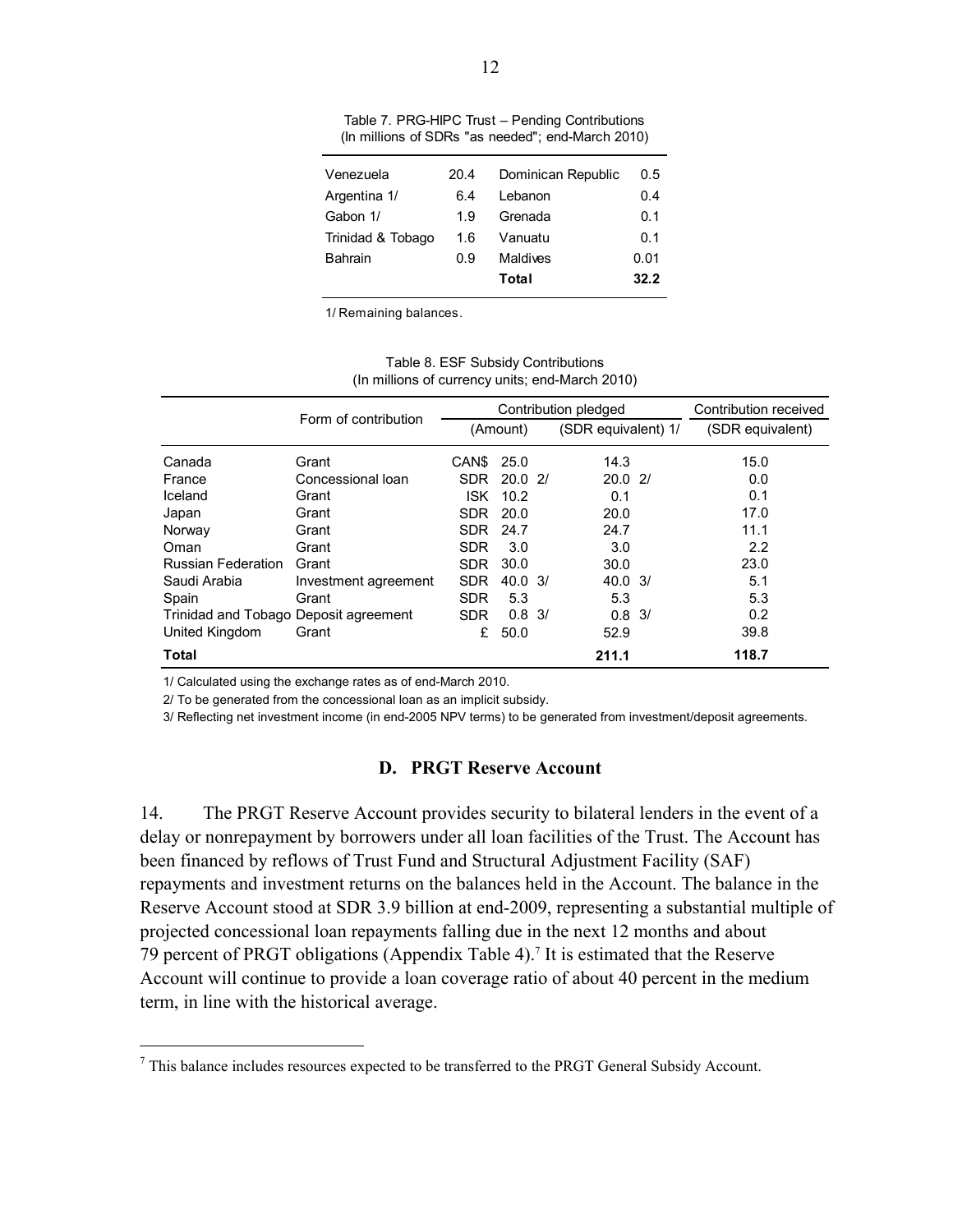| Venezuela         | 20.4 | Dominican Republic | 0.5  |
|-------------------|------|--------------------|------|
| Argentina 1/      | 6.4  | Lebanon            | 0.4  |
| Gabon 1/          | 1.9  | Grenada            | 0.1  |
| Trinidad & Tobago | 1.6  | Vanuatu            | 0.1  |
| <b>Bahrain</b>    | 0.9  | Maldives           | 0.01 |
|                   |      | Total              | 32.2 |
|                   |      |                    |      |

Table 7. PRG-HIPC Trust – Pending Contributions (In millions of SDRs "as needed"; end-March 2010)

1/ Remaining balances.

|                                       |                      |            |                   | Contribution pledged | Contribution received |
|---------------------------------------|----------------------|------------|-------------------|----------------------|-----------------------|
|                                       | Form of contribution |            | (Amount)          | (SDR equivalent) 1/  | (SDR equivalent)      |
| Canada                                | Grant                | CAN\$      | 25.0              | 14.3                 | 15.0                  |
| France                                | Concessional loan    | <b>SDR</b> | 20.02             | 20.021               | 0.0                   |
| Iceland                               | Grant                | <b>ISK</b> | 10.2              | 0.1                  | 0.1                   |
| Japan                                 | Grant                | SDR.       | 20.0              | 20.0                 | 17.0                  |
| Norway                                | Grant                | <b>SDR</b> | 24.7              | 24.7                 | 11.1                  |
| Oman                                  | Grant                | <b>SDR</b> | 3.0               | 3.0                  | 2.2                   |
| <b>Russian Federation</b>             | Grant                | <b>SDR</b> | 30.0              | 30.0                 | 23.0                  |
| Saudi Arabia                          | Investment agreement | <b>SDR</b> | 40.03/            | $40.0 \frac{3}{1}$   | 5.1                   |
| Spain                                 | Grant                | <b>SDR</b> | 5.3               | 5.3                  | 5.3                   |
| Trinidad and Tobago Deposit agreement |                      | <b>SDR</b> | $0.8 \frac{3}{1}$ | $0.8 \frac{3}{1}$    | 0.2                   |
| United Kingdom                        | Grant                | £          | 50.0              | 52.9                 | 39.8                  |
| Total                                 |                      |            |                   | 211.1                | 118.7                 |

Table 8. ESF Subsidy Contributions (In millions of currency units; end-March 2010)

1/ Calculated using the exchange rates as of end-March 2010.

 $\overline{a}$ 

2/ To be generated from the concessional loan as an implicit subsidy.

3/ Reflecting net investment income (in end-2005 NPV terms) to be generated from investment/deposit agreements.

#### **D. PRGT Reserve Account**

14. The PRGT Reserve Account provides security to bilateral lenders in the event of a delay or nonrepayment by borrowers under all loan facilities of the Trust. The Account has been financed by reflows of Trust Fund and Structural Adjustment Facility (SAF) repayments and investment returns on the balances held in the Account. The balance in the Reserve Account stood at SDR 3.9 billion at end-2009, representing a substantial multiple of projected concessional loan repayments falling due in the next 12 months and about 79 percent of PRGT obligations (Appendix Table 4).<sup>7</sup> It is estimated that the Reserve Account will continue to provide a loan coverage ratio of about 40 percent in the medium term, in line with the historical average.

 $<sup>7</sup>$  This balance includes resources expected to be transferred to the PRGT General Subsidy Account.</sup>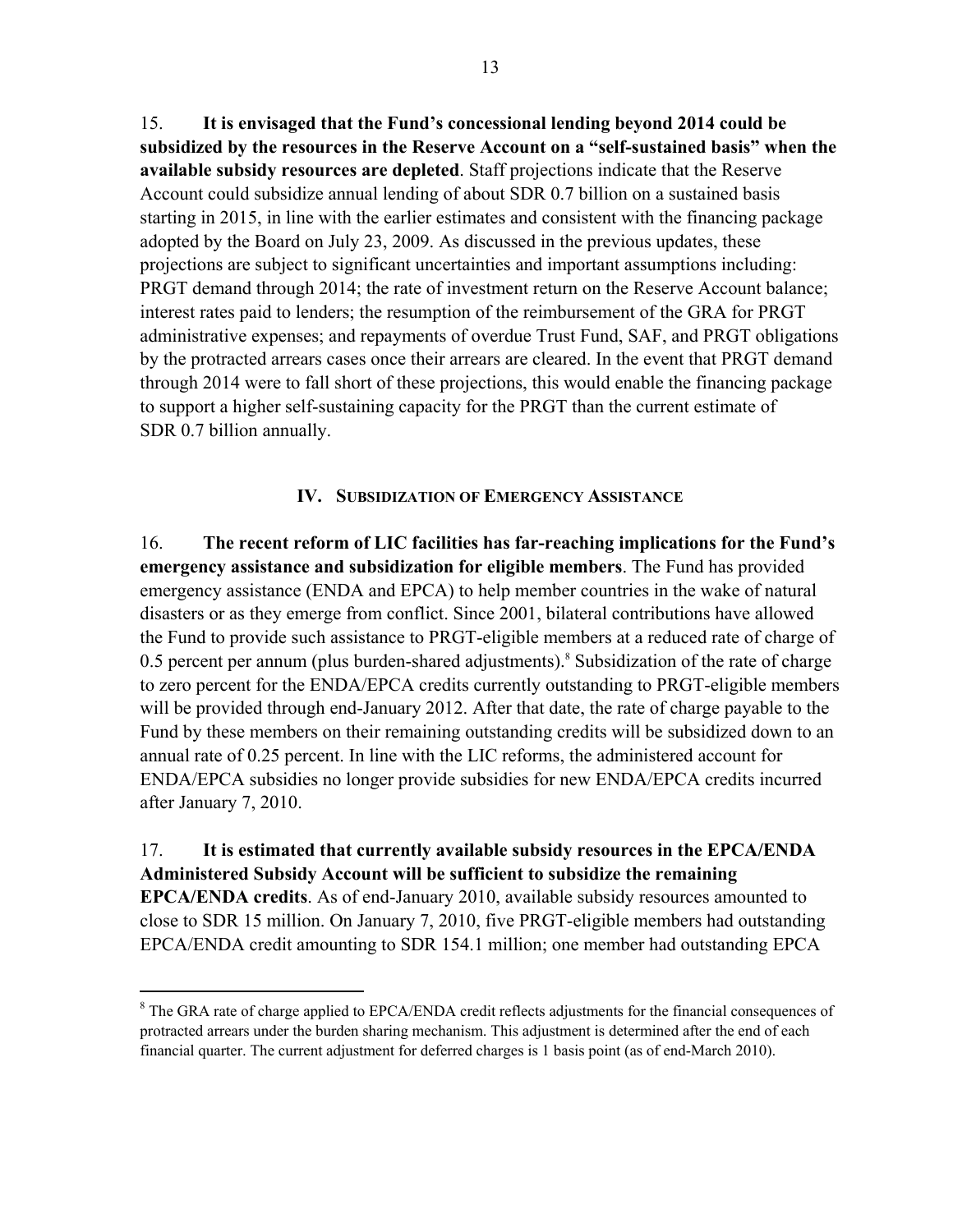15. **It is envisaged that the Fund's concessional lending beyond 2014 could be subsidized by the resources in the Reserve Account on a "self-sustained basis" when the available subsidy resources are depleted**. Staff projections indicate that the Reserve Account could subsidize annual lending of about SDR 0.7 billion on a sustained basis starting in 2015, in line with the earlier estimates and consistent with the financing package adopted by the Board on July 23, 2009. As discussed in the previous updates, these projections are subject to significant uncertainties and important assumptions including: PRGT demand through 2014; the rate of investment return on the Reserve Account balance; interest rates paid to lenders; the resumption of the reimbursement of the GRA for PRGT administrative expenses; and repayments of overdue Trust Fund, SAF, and PRGT obligations by the protracted arrears cases once their arrears are cleared. In the event that PRGT demand through 2014 were to fall short of these projections, this would enable the financing package to support a higher self-sustaining capacity for the PRGT than the current estimate of SDR 0.7 billion annually.

## **IV. SUBSIDIZATION OF EMERGENCY ASSISTANCE**

16. **The recent reform of LIC facilities has far-reaching implications for the Fund's emergency assistance and subsidization for eligible members**. The Fund has provided emergency assistance (ENDA and EPCA) to help member countries in the wake of natural disasters or as they emerge from conflict. Since 2001, bilateral contributions have allowed the Fund to provide such assistance to PRGT-eligible members at a reduced rate of charge of 0.5 percent per annum (plus burden-shared adjustments).<sup>8</sup> Subsidization of the rate of charge to zero percent for the ENDA/EPCA credits currently outstanding to PRGT-eligible members will be provided through end-January 2012. After that date, the rate of charge payable to the Fund by these members on their remaining outstanding credits will be subsidized down to an annual rate of 0.25 percent. In line with the LIC reforms, the administered account for ENDA/EPCA subsidies no longer provide subsidies for new ENDA/EPCA credits incurred after January 7, 2010.

# 17. **It is estimated that currently available subsidy resources in the EPCA/ENDA Administered Subsidy Account will be sufficient to subsidize the remaining EPCA/ENDA credits**. As of end-January 2010, available subsidy resources amounted to close to SDR 15 million. On January 7, 2010, five PRGT-eligible members had outstanding EPCA/ENDA credit amounting to SDR 154.1 million; one member had outstanding EPCA

<sup>&</sup>lt;sup>8</sup> The GRA rate of charge applied to EPCA/ENDA credit reflects adjustments for the financial consequences of protracted arrears under the burden sharing mechanism. This adjustment is determined after the end of each financial quarter. The current adjustment for deferred charges is 1 basis point (as of end-March 2010).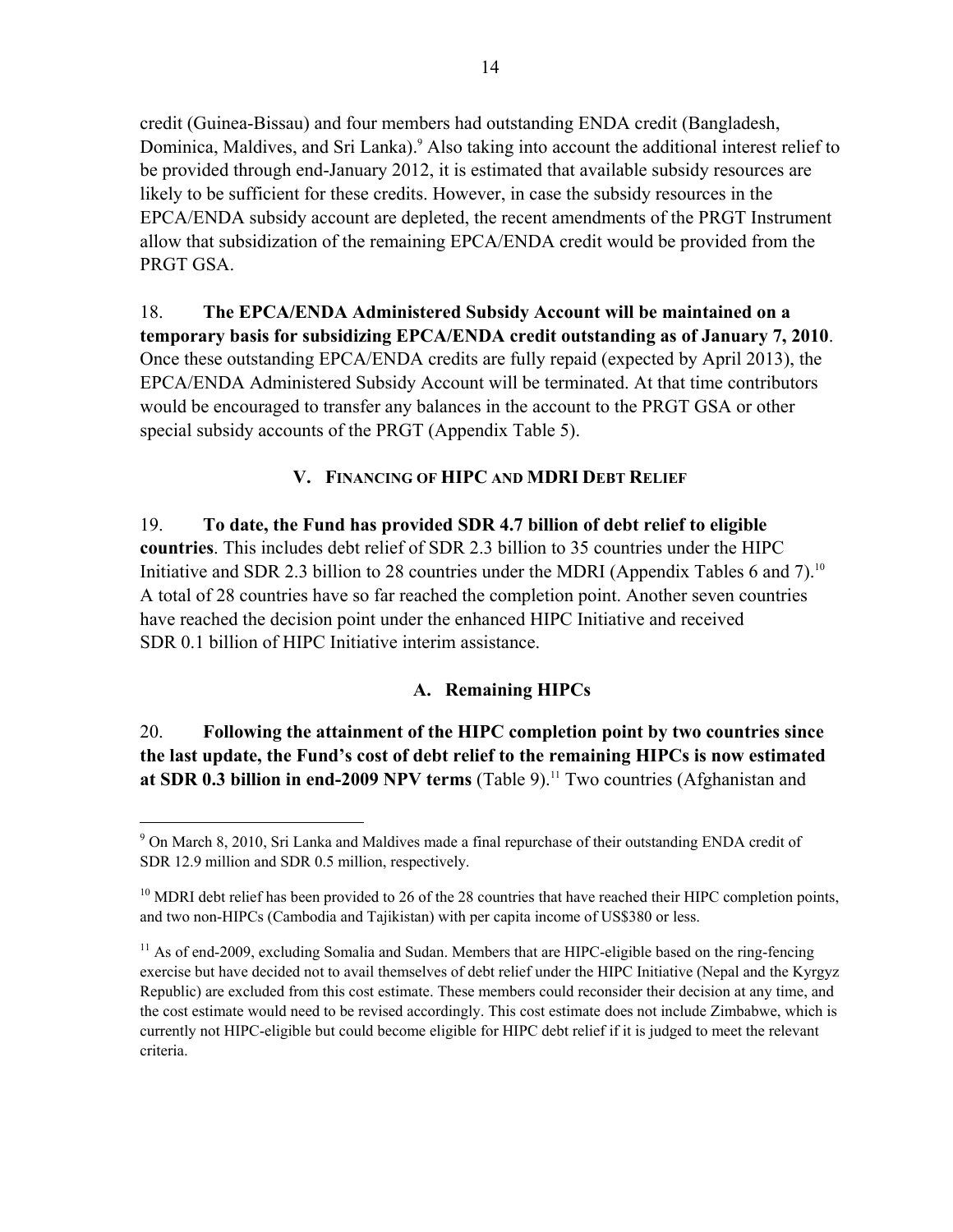credit (Guinea-Bissau) and four members had outstanding ENDA credit (Bangladesh, Dominica, Maldives, and Sri Lanka).<sup>9</sup> Also taking into account the additional interest relief to be provided through end-January 2012, it is estimated that available subsidy resources are likely to be sufficient for these credits. However, in case the subsidy resources in the EPCA/ENDA subsidy account are depleted, the recent amendments of the PRGT Instrument allow that subsidization of the remaining EPCA/ENDA credit would be provided from the PRGT GSA.

18. **The EPCA/ENDA Administered Subsidy Account will be maintained on a temporary basis for subsidizing EPCA/ENDA credit outstanding as of January 7, 2010**. Once these outstanding EPCA/ENDA credits are fully repaid (expected by April 2013), the EPCA/ENDA Administered Subsidy Account will be terminated. At that time contributors would be encouraged to transfer any balances in the account to the PRGT GSA or other special subsidy accounts of the PRGT (Appendix Table 5).

## **V. FINANCING OF HIPC AND MDRI DEBT RELIEF**

19. **To date, the Fund has provided SDR 4.7 billion of debt relief to eligible countries**. This includes debt relief of SDR 2.3 billion to 35 countries under the HIPC Initiative and SDR 2.3 billion to 28 countries under the MDRI (Appendix Tables 6 and 7).<sup>10</sup> A total of 28 countries have so far reached the completion point. Another seven countries have reached the decision point under the enhanced HIPC Initiative and received SDR 0.1 billion of HIPC Initiative interim assistance.

## **A. Remaining HIPCs**

# 20. **Following the attainment of the HIPC completion point by two countries since the last update, the Fund's cost of debt relief to the remaining HIPCs is now estimated at SDR 0.3 billion in end-2009 NPV terms** (Table 9).<sup>11</sup> Two countries (Afghanistan and

<sup>&</sup>lt;sup>9</sup> On March 8, 2010, Sri Lanka and Maldives made a final repurchase of their outstanding ENDA credit of SDR 12.9 million and SDR 0.5 million, respectively.

 $10$  MDRI debt relief has been provided to 26 of the 28 countries that have reached their HIPC completion points, and two non-HIPCs (Cambodia and Tajikistan) with per capita income of US\$380 or less.

 $11$  As of end-2009, excluding Somalia and Sudan. Members that are HIPC-eligible based on the ring-fencing exercise but have decided not to avail themselves of debt relief under the HIPC Initiative (Nepal and the Kyrgyz Republic) are excluded from this cost estimate. These members could reconsider their decision at any time, and the cost estimate would need to be revised accordingly. This cost estimate does not include Zimbabwe, which is currently not HIPC-eligible but could become eligible for HIPC debt relief if it is judged to meet the relevant criteria.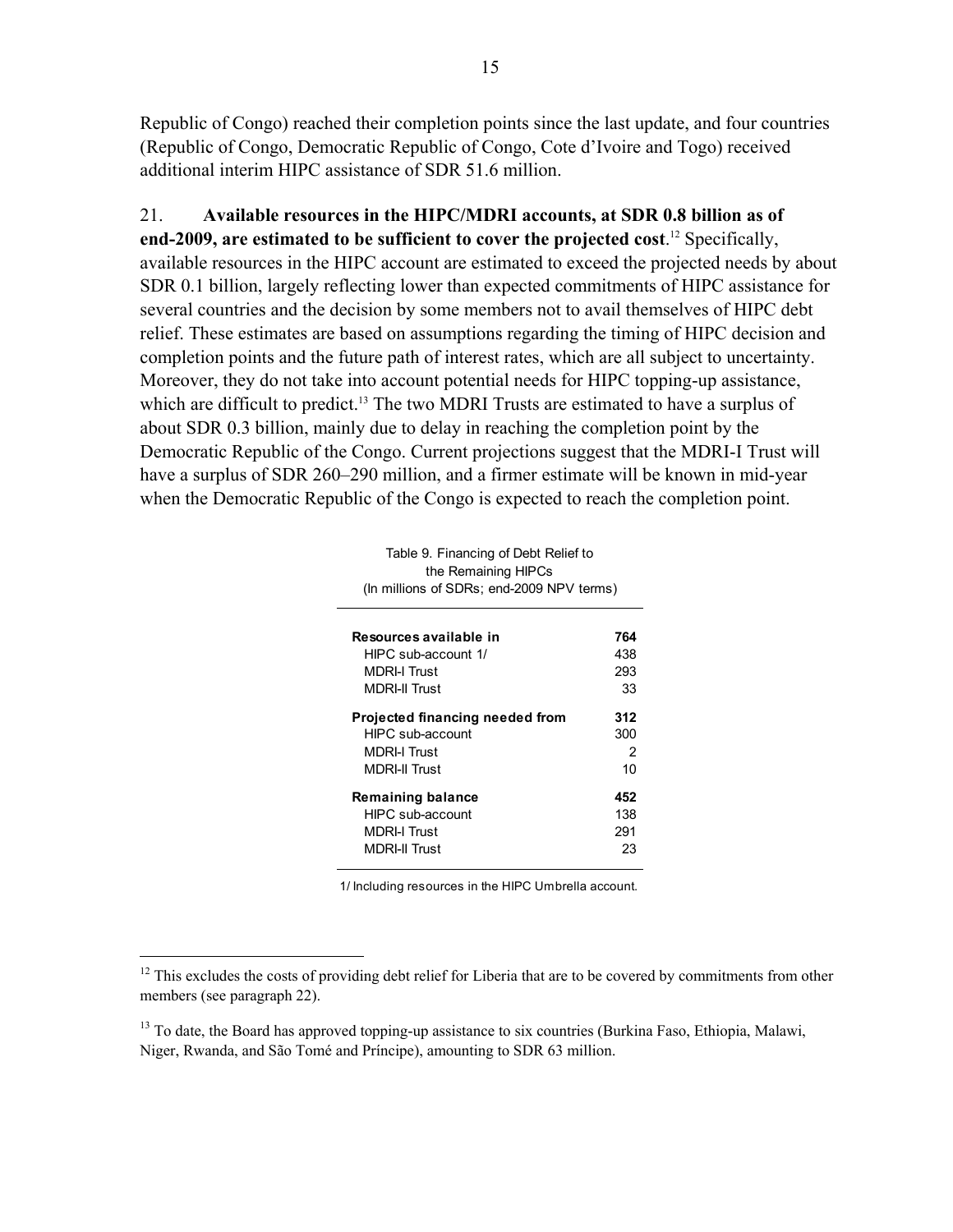Republic of Congo) reached their completion points since the last update, and four countries (Republic of Congo, Democratic Republic of Congo, Cote d'Ivoire and Togo) received additional interim HIPC assistance of SDR 51.6 million.

21. **Available resources in the HIPC/MDRI accounts, at SDR 0.8 billion as of end-2009, are estimated to be sufficient to cover the projected cost**. 12 Specifically, available resources in the HIPC account are estimated to exceed the projected needs by about SDR 0.1 billion, largely reflecting lower than expected commitments of HIPC assistance for several countries and the decision by some members not to avail themselves of HIPC debt relief. These estimates are based on assumptions regarding the timing of HIPC decision and completion points and the future path of interest rates, which are all subject to uncertainty. Moreover, they do not take into account potential needs for HIPC topping-up assistance, which are difficult to predict.<sup>13</sup> The two MDRI Trusts are estimated to have a surplus of about SDR 0.3 billion, mainly due to delay in reaching the completion point by the Democratic Republic of the Congo. Current projections suggest that the MDRI-I Trust will have a surplus of SDR 260–290 million, and a firmer estimate will be known in mid-year when the Democratic Republic of the Congo is expected to reach the completion point.

| Table 9. Financing of Debt Relief to      |     |  |  |  |  |
|-------------------------------------------|-----|--|--|--|--|
| the Remaining HIPCs                       |     |  |  |  |  |
| (In millions of SDRs; end-2009 NPV terms) |     |  |  |  |  |
|                                           |     |  |  |  |  |
| Resources available in                    | 764 |  |  |  |  |
| HIPC sub-account 1/                       | 438 |  |  |  |  |
| <b>MDRI-I Trust</b>                       | 293 |  |  |  |  |
| <b>MDRI-II Trust</b>                      | 33  |  |  |  |  |
| Projected financing needed from           | 312 |  |  |  |  |
| HIPC sub-account                          | 300 |  |  |  |  |
| <b>MDRI-I Trust</b>                       | 2   |  |  |  |  |
| <b>MDRI-II Trust</b>                      | 10  |  |  |  |  |
| <b>Remaining balance</b>                  | 452 |  |  |  |  |
| HIPC sub-account                          | 138 |  |  |  |  |
| <b>MDRI-I Trust</b>                       | 291 |  |  |  |  |
| <b>MDRI-II Trust</b>                      | 23  |  |  |  |  |
|                                           |     |  |  |  |  |

1/ Including resources in the HIPC Umbrella account.

 $12$  This excludes the costs of providing debt relief for Liberia that are to be covered by commitments from other members (see paragraph 22).

<sup>&</sup>lt;sup>13</sup> To date, the Board has approved topping-up assistance to six countries (Burkina Faso, Ethiopia, Malawi, Niger, Rwanda, and São Tomé and Príncipe), amounting to SDR 63 million.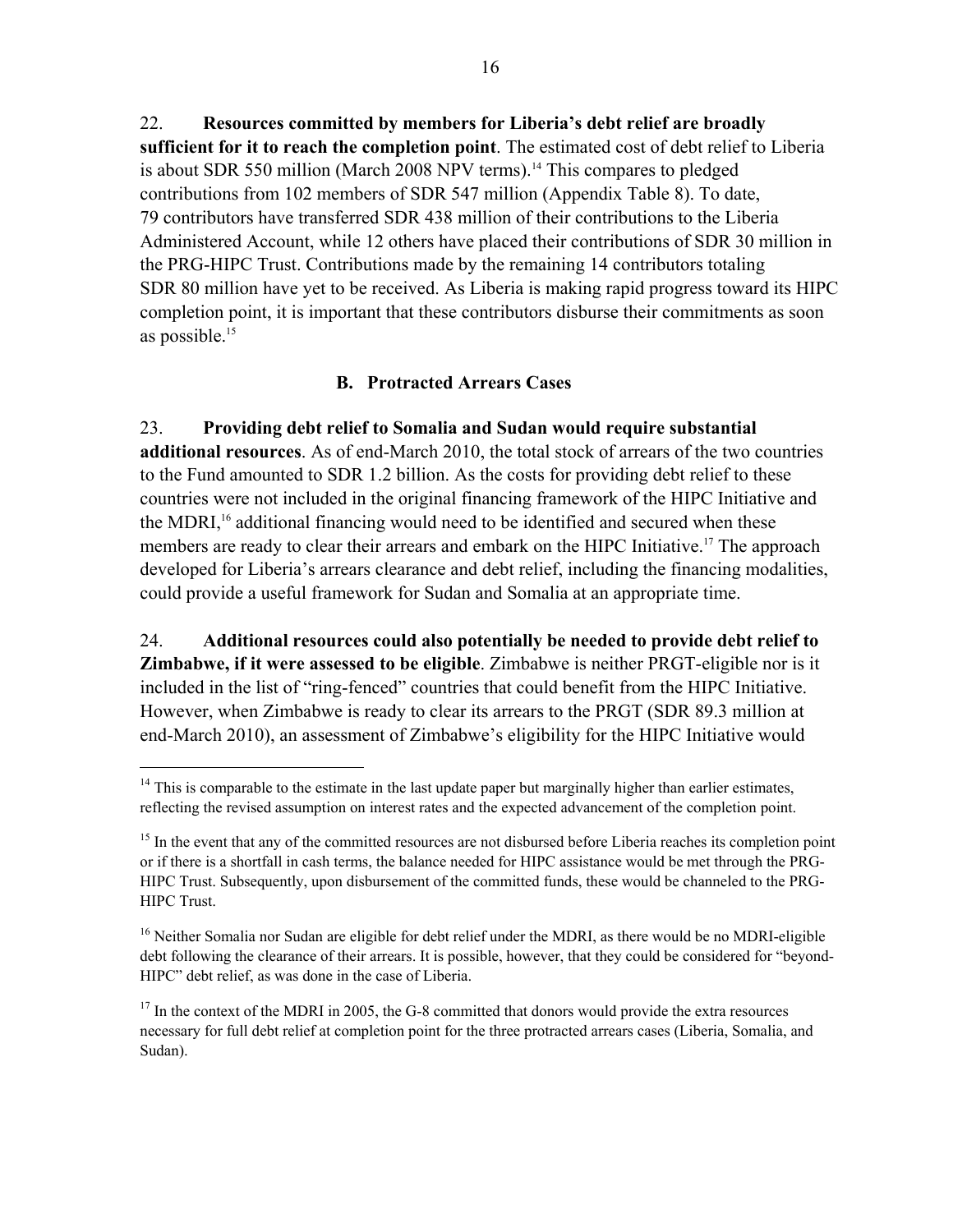22. **Resources committed by members for Liberia's debt relief are broadly sufficient for it to reach the completion point**. The estimated cost of debt relief to Liberia is about SDR 550 million (March 2008 NPV terms).<sup>14</sup> This compares to pledged contributions from 102 members of SDR 547 million (Appendix Table 8). To date, 79 contributors have transferred SDR 438 million of their contributions to the Liberia Administered Account, while 12 others have placed their contributions of SDR 30 million in the PRG-HIPC Trust. Contributions made by the remaining 14 contributors totaling SDR 80 million have yet to be received. As Liberia is making rapid progress toward its HIPC completion point, it is important that these contributors disburse their commitments as soon as possible.15

## **B. Protracted Arrears Cases**

23. **Providing debt relief to Somalia and Sudan would require substantial additional resources**. As of end-March 2010, the total stock of arrears of the two countries to the Fund amounted to SDR 1.2 billion. As the costs for providing debt relief to these countries were not included in the original financing framework of the HIPC Initiative and the MDRI,<sup>16</sup> additional financing would need to be identified and secured when these members are ready to clear their arrears and embark on the HIPC Initiative.<sup>17</sup> The approach developed for Liberia's arrears clearance and debt relief, including the financing modalities, could provide a useful framework for Sudan and Somalia at an appropriate time.

24. **Additional resources could also potentially be needed to provide debt relief to Zimbabwe, if it were assessed to be eligible**. Zimbabwe is neither PRGT-eligible nor is it included in the list of "ring-fenced" countries that could benefit from the HIPC Initiative. However, when Zimbabwe is ready to clear its arrears to the PRGT (SDR 89.3 million at end-March 2010), an assessment of Zimbabwe's eligibility for the HIPC Initiative would

1

<sup>&</sup>lt;sup>14</sup> This is comparable to the estimate in the last update paper but marginally higher than earlier estimates, reflecting the revised assumption on interest rates and the expected advancement of the completion point.

<sup>&</sup>lt;sup>15</sup> In the event that any of the committed resources are not disbursed before Liberia reaches its completion point or if there is a shortfall in cash terms, the balance needed for HIPC assistance would be met through the PRG-HIPC Trust. Subsequently, upon disbursement of the committed funds, these would be channeled to the PRG-HIPC Trust.

<sup>&</sup>lt;sup>16</sup> Neither Somalia nor Sudan are eligible for debt relief under the MDRI, as there would be no MDRI-eligible debt following the clearance of their arrears. It is possible, however, that they could be considered for "beyond-HIPC" debt relief, as was done in the case of Liberia.

 $17$  In the context of the MDRI in 2005, the G-8 committed that donors would provide the extra resources necessary for full debt relief at completion point for the three protracted arrears cases (Liberia, Somalia, and Sudan).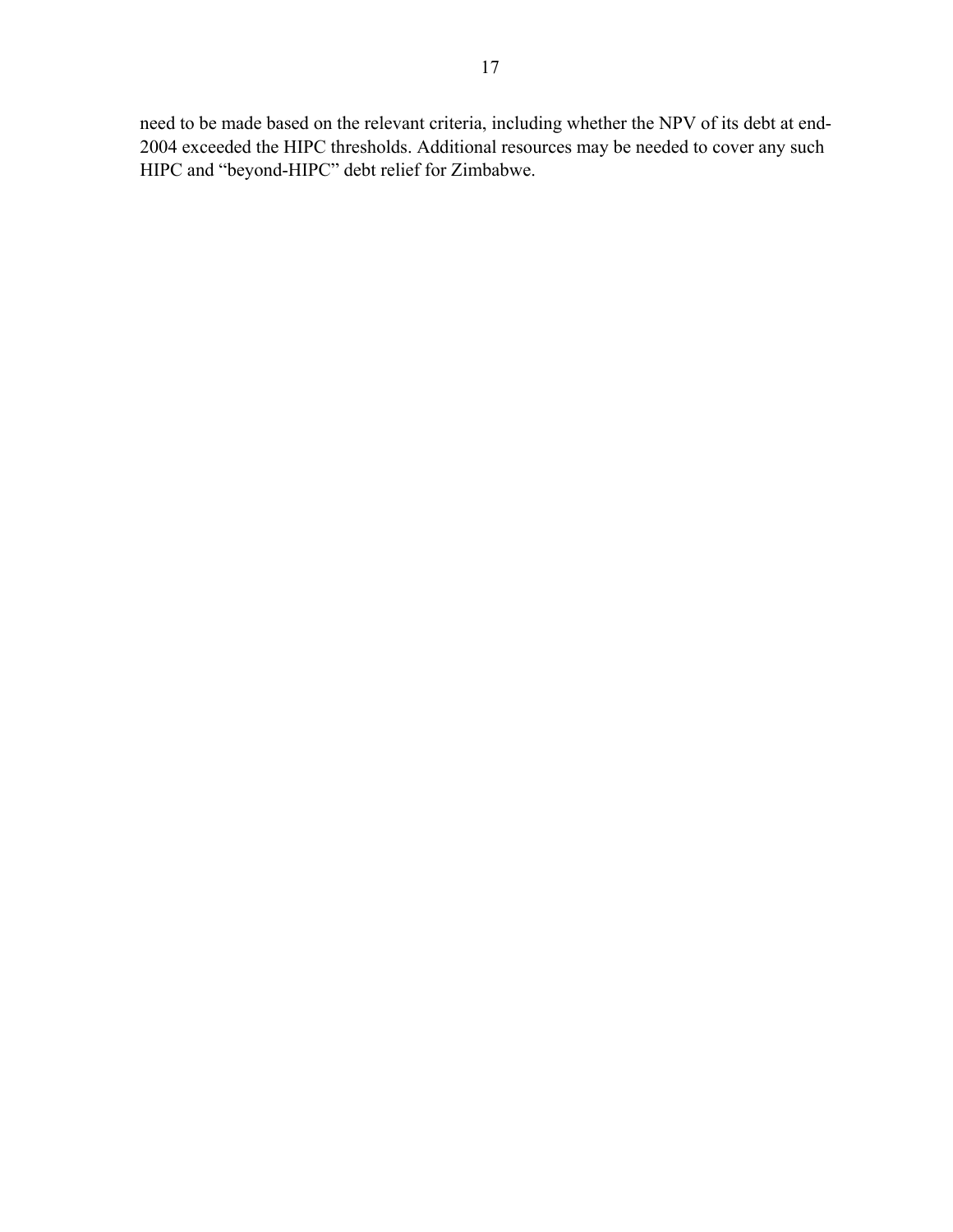need to be made based on the relevant criteria, including whether the NPV of its debt at end-2004 exceeded the HIPC thresholds. Additional resources may be needed to cover any such HIPC and "beyond-HIPC" debt relief for Zimbabwe.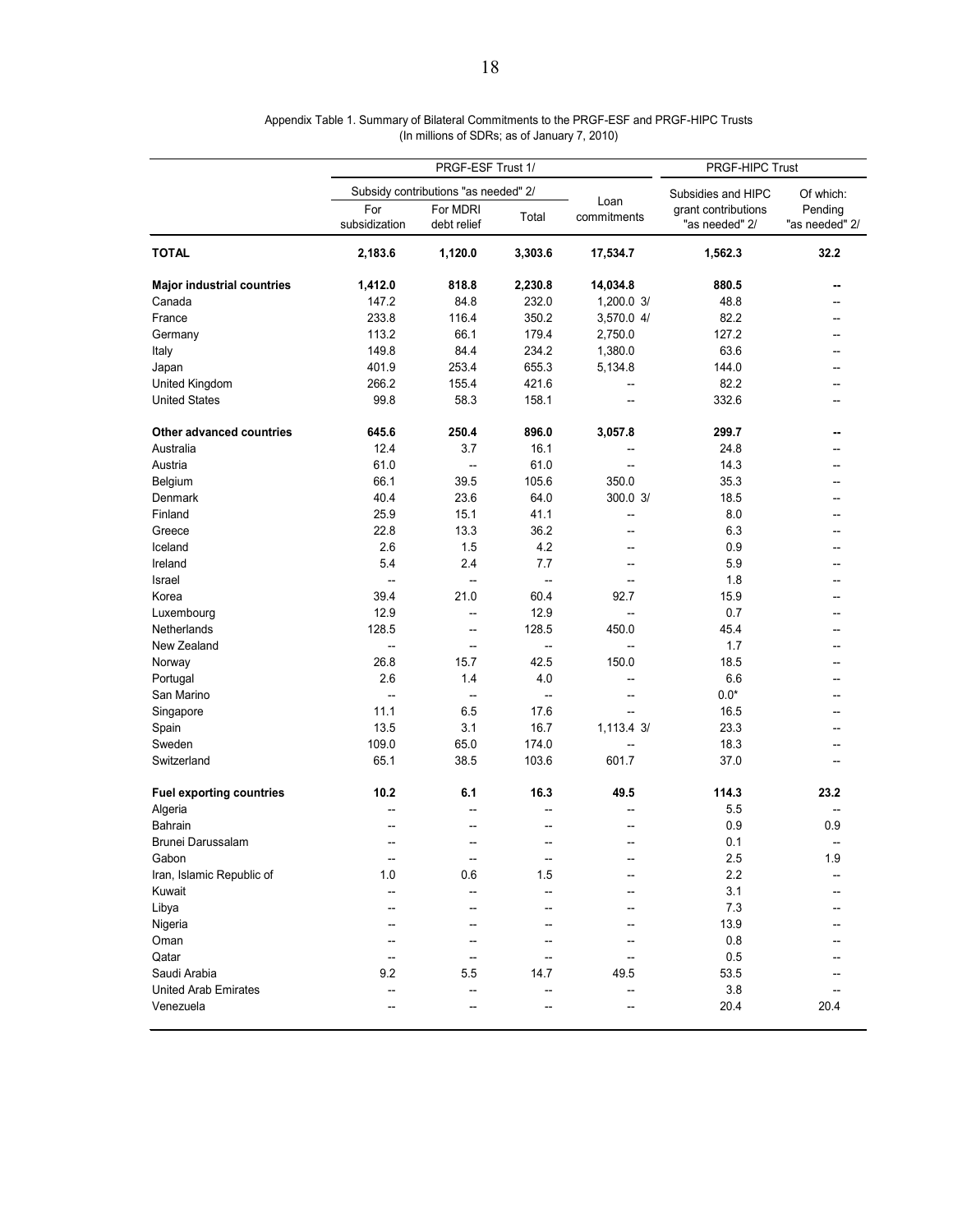|                                   | PRGF-ESF Trust 1/        |                                      |                          | PRGF-HIPC Trust     |                                       |                           |
|-----------------------------------|--------------------------|--------------------------------------|--------------------------|---------------------|---------------------------------------|---------------------------|
|                                   |                          | Subsidy contributions "as needed" 2/ |                          |                     | Subsidies and HIPC                    | Of which:                 |
|                                   | For<br>subsidization     | For MDRI<br>debt relief              | Total                    | Loan<br>commitments | grant contributions<br>"as needed" 2/ | Pending<br>"as needed" 2/ |
| <b>TOTAL</b>                      | 2,183.6                  | 1,120.0                              | 3,303.6                  | 17,534.7            | 1,562.3                               | 32.2                      |
| <b>Major industrial countries</b> | 1,412.0                  | 818.8                                | 2,230.8                  | 14,034.8            | 880.5                                 |                           |
| Canada                            | 147.2                    | 84.8                                 | 232.0                    | 1,200.0 3/          | 48.8                                  |                           |
| France                            | 233.8                    | 116.4                                | 350.2                    | 3,570.0 4/          | 82.2                                  | $-$                       |
| Germany                           | 113.2                    | 66.1                                 | 179.4                    | 2,750.0             | 127.2                                 |                           |
| Italy                             | 149.8                    | 84.4                                 | 234.2                    | 1,380.0             | 63.6                                  |                           |
| Japan                             | 401.9                    | 253.4                                | 655.3                    | 5,134.8             | 144.0                                 |                           |
| United Kingdom                    | 266.2                    | 155.4                                | 421.6                    | --                  | 82.2                                  |                           |
| <b>United States</b>              | 99.8                     | 58.3                                 | 158.1                    |                     | 332.6                                 |                           |
| Other advanced countries          | 645.6                    | 250.4                                | 896.0                    | 3,057.8             | 299.7                                 | --                        |
| Australia                         | 12.4                     | 3.7                                  | 16.1                     | --                  | 24.8                                  |                           |
| Austria                           | 61.0                     | $\overline{\phantom{a}}$             | 61.0                     | --                  | 14.3                                  |                           |
| Belgium                           | 66.1                     | 39.5                                 | 105.6                    | 350.0               | 35.3                                  |                           |
| Denmark                           | 40.4                     | 23.6                                 | 64.0                     | 300.0 3/            | 18.5                                  |                           |
| Finland                           | 25.9                     | 15.1                                 | 41.1                     | --                  | 8.0                                   |                           |
| Greece                            | 22.8                     | 13.3                                 | 36.2                     | $\overline{a}$      | 6.3                                   |                           |
| Iceland                           | 2.6                      | 1.5                                  | 4.2                      | --                  | 0.9                                   |                           |
| Ireland                           | 5.4                      | 2.4                                  | 7.7                      | --                  | 5.9                                   |                           |
| Israel                            | --                       | $\overline{\phantom{a}}$             |                          |                     | 1.8                                   |                           |
|                                   | 39.4                     | 21.0                                 | --<br>60.4               | $-$<br>92.7         | 15.9                                  |                           |
| Korea                             | 12.9                     |                                      | 12.9                     |                     |                                       |                           |
| Luxembourg                        |                          | --                                   |                          | $\overline{a}$      | 0.7                                   |                           |
| Netherlands                       | 128.5                    | --                                   | 128.5                    | 450.0               | 45.4                                  |                           |
| New Zealand                       | $\overline{\phantom{a}}$ | --                                   | $\overline{\phantom{a}}$ |                     | 1.7                                   |                           |
| Norway                            | 26.8                     | 15.7                                 | 42.5                     | 150.0               | 18.5                                  |                           |
| Portugal                          | 2.6                      | 1.4                                  | 4.0                      |                     | 6.6                                   |                           |
| San Marino                        | --                       | $\overline{\phantom{a}}$             | $\overline{\phantom{a}}$ | --                  | $0.0*$                                |                           |
| Singapore                         | 11.1                     | 6.5                                  | 17.6                     |                     | 16.5                                  |                           |
| Spain                             | 13.5                     | 3.1                                  | 16.7                     | 1,113.4 3/          | 23.3                                  |                           |
| Sweden                            | 109.0                    | 65.0                                 | 174.0                    |                     | 18.3                                  |                           |
| Switzerland                       | 65.1                     | 38.5                                 | 103.6                    | 601.7               | 37.0                                  |                           |
| <b>Fuel exporting countries</b>   | 10.2                     | 6.1                                  | 16.3                     | 49.5                | 114.3                                 | 23.2                      |
| Algeria                           |                          |                                      |                          |                     | 5.5                                   |                           |
| Bahrain                           | --                       |                                      | --                       |                     | 0.9                                   | 0.9                       |
| Brunei Darussalam                 | --                       | --                                   | $\overline{a}$           | --                  | 0.1                                   | --                        |
| Gabon                             | --                       | --                                   | --                       |                     | 2.5                                   | 1.9                       |
| Iran, Islamic Republic of         | 1.0                      | 0.6                                  | 1.5                      |                     | 2.2                                   |                           |
| Kuwait                            | --                       |                                      |                          |                     | 3.1                                   |                           |
| Libya                             | --                       |                                      |                          |                     | 7.3                                   |                           |
| Nigeria                           |                          |                                      |                          |                     | 13.9                                  |                           |
| Oman                              |                          |                                      |                          |                     | 0.8                                   |                           |
| Qatar                             | --                       |                                      | --                       |                     | 0.5                                   |                           |
| Saudi Arabia                      | 9.2                      | 5.5                                  | 14.7                     | 49.5                | 53.5                                  |                           |
| <b>United Arab Emirates</b>       | --                       | --                                   | --                       |                     | 3.8                                   |                           |
| Venezuela                         |                          |                                      |                          |                     | 20.4                                  | 20.4                      |

#### Appendix Table 1. Summary of Bilateral Commitments to the PRGF-ESF and PRGF-HIPC Trusts (In millions of SDRs; as of January 7, 2010)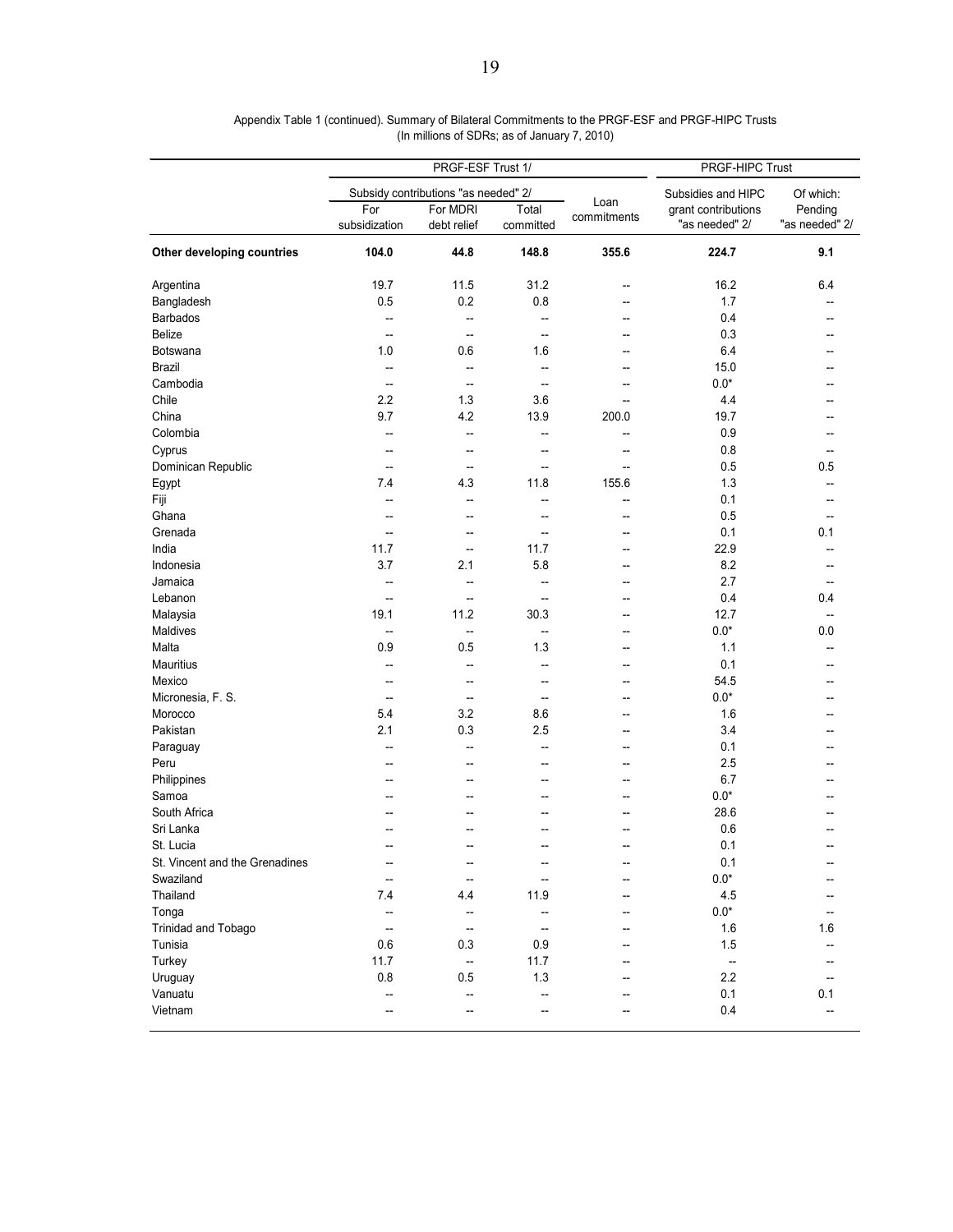|                                | PRGF-ESF Trust 1/        |                                      |                          | PRGF-HIPC Trust          |                                       |                                   |
|--------------------------------|--------------------------|--------------------------------------|--------------------------|--------------------------|---------------------------------------|-----------------------------------|
|                                |                          | Subsidy contributions "as needed" 2/ |                          |                          | Subsidies and HIPC                    | Of which:                         |
|                                | For<br>subsidization     | For MDRI<br>debt relief              | Total<br>committed       | Loan<br>commitments      | grant contributions<br>"as needed" 2/ | Pending<br>"as needed" 2/         |
| Other developing countries     | 104.0                    | 44.8                                 | 148.8                    | 355.6                    | 224.7                                 | 9.1                               |
| Argentina                      | 19.7                     | 11.5                                 | 31.2                     | --                       | 16.2                                  | 6.4                               |
| Bangladesh                     | 0.5                      | 0.2                                  | 0.8                      | $-$                      | 1.7                                   |                                   |
| <b>Barbados</b>                | --                       | --                                   | --                       | --                       | 0.4                                   | --                                |
| <b>Belize</b>                  | --                       | --                                   | $\overline{\phantom{a}}$ |                          | 0.3                                   |                                   |
| Botswana                       | 1.0                      | 0.6                                  | 1.6                      |                          | 6.4                                   |                                   |
| <b>Brazil</b>                  | --                       | --                                   | --                       |                          | 15.0                                  |                                   |
| Cambodia                       | $\overline{a}$           | --                                   | Ξ.                       |                          | $0.0*$                                |                                   |
| Chile                          | 2.2                      | 1.3                                  | 3.6                      |                          | 4.4                                   |                                   |
| China                          | 9.7                      | 4.2                                  | 13.9                     | 200.0                    | 19.7                                  |                                   |
| Colombia                       | --                       | --                                   | --                       | --                       | 0.9                                   |                                   |
| Cyprus                         | $\overline{a}$           | $\overline{a}$                       | Ξ.                       | --                       | 0.8                                   | $\overline{a}$                    |
| Dominican Republic             | $\overline{a}$           | $\overline{a}$                       | $\overline{a}$           | --                       | 0.5                                   | 0.5                               |
| Egypt                          | 7.4                      | 4.3                                  | 11.8                     | 155.6                    | 1.3                                   | $\overline{\phantom{a}}$          |
| Fiji                           | $\overline{a}$           | --                                   | $\overline{a}$           | --                       | 0.1                                   | --                                |
| Ghana                          | $\overline{a}$           | --                                   | --                       | --                       | 0.5                                   | $\overline{a}$                    |
| Grenada                        | $\overline{a}$           | --                                   | $\overline{\phantom{a}}$ | $-$                      | 0.1                                   | 0.1                               |
| India                          | 11.7                     | --                                   | 11.7                     | --                       | 22.9                                  |                                   |
| Indonesia                      | 3.7                      | 2.1                                  | 5.8                      | $-$                      | 8.2                                   |                                   |
| Jamaica                        | --                       | --                                   | --                       |                          | 2.7                                   | --                                |
| Lebanon                        | --                       | --                                   | --                       |                          | 0.4                                   | 0.4                               |
| Malaysia                       | 19.1                     | 11.2                                 | 30.3                     |                          | 12.7                                  | --                                |
| Maldives                       | --                       | --                                   | Ξ.                       |                          | $0.0*$                                | 0.0                               |
| Malta                          | 0.9                      | 0.5                                  | 1.3                      | --                       | 1.1                                   |                                   |
| Mauritius                      | --                       | --                                   | --                       |                          | 0.1                                   |                                   |
| Mexico                         | $-$                      | --                                   | $\overline{\phantom{a}}$ | --                       | 54.5                                  | --                                |
| Micronesia, F. S.              | $\overline{\phantom{a}}$ | $\overline{a}$                       | $\overline{\phantom{a}}$ | --                       | $0.0^{\star}$                         |                                   |
| Morocco                        | 5.4                      | 3.2                                  | 8.6                      | --                       | 1.6                                   |                                   |
| Pakistan                       | 2.1                      | 0.3                                  | 2.5                      | --                       | 3.4                                   |                                   |
|                                |                          | --                                   | $\overline{a}$           | $\overline{\phantom{a}}$ | 0.1                                   |                                   |
| Paraguay<br>Peru               | $-$                      | --                                   |                          | --                       | 2.5                                   |                                   |
| Philippines                    | --<br>--                 | --                                   | --<br>--                 | --                       | 6.7                                   |                                   |
| Samoa                          |                          |                                      |                          |                          | $0.0*$                                |                                   |
| South Africa                   |                          |                                      |                          |                          | 28.6                                  |                                   |
| Sri Lanka                      |                          |                                      |                          |                          | 0.6                                   |                                   |
| St. Lucia                      | --                       | --                                   | --                       | --                       | 0.1                                   | $\overline{a}$                    |
| St. Vincent and the Grenadines |                          |                                      |                          |                          | 0.1                                   |                                   |
| Swaziland                      |                          |                                      | --                       |                          | $0.0^{\star}$                         |                                   |
| Thailand                       | --                       |                                      |                          |                          |                                       |                                   |
|                                | 7.4                      | 4.4                                  | 11.9                     | --                       | 4.5                                   |                                   |
| Tonga                          | --                       | --                                   | --                       |                          | $0.0^\star$                           |                                   |
| Trinidad and Tobago            | $\overline{\phantom{a}}$ | $\overline{\phantom{a}}$             | $\qquad \qquad -$        | --                       | 1.6                                   | 1.6                               |
| Tunisia                        | 0.6                      | 0.3                                  | 0.9                      |                          | 1.5                                   |                                   |
| Turkey                         | 11.7                     | $\overline{\phantom{a}}$             | 11.7                     | --                       | $\overline{\phantom{a}}$              |                                   |
| Uruguay                        | 0.8                      | 0.5                                  | 1.3                      |                          | 2.2                                   | $\overline{\phantom{a}}$          |
| Vanuatu                        | --                       | --                                   | --                       |                          | 0.1                                   | 0.1                               |
| Vietnam                        | $-$                      | --                                   | --                       |                          | 0.4                                   | $\hspace{0.05cm} \dashrightarrow$ |

Appendix Table 1 (continued). Summary of Bilateral Commitments to the PRGF-ESF and PRGF-HIPC Trusts (In millions of SDRs; as of January 7, 2010)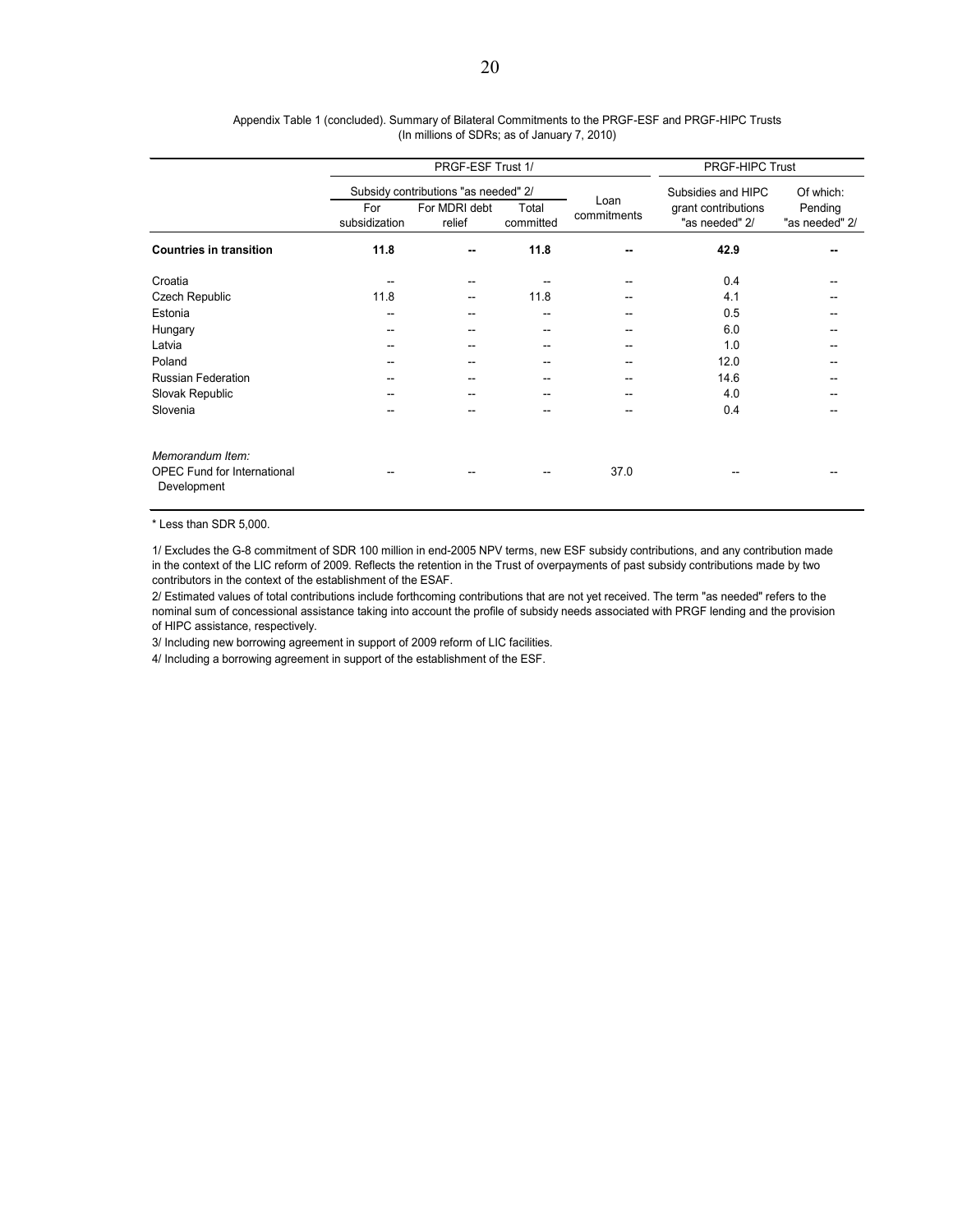|                                                                       | PRGF-ESF Trust 1/    |                                                                 |                    |                     | PRGF-HIPC Trust                                             |                                        |  |
|-----------------------------------------------------------------------|----------------------|-----------------------------------------------------------------|--------------------|---------------------|-------------------------------------------------------------|----------------------------------------|--|
|                                                                       | For<br>subsidization | Subsidy contributions "as needed" 2/<br>For MDRI debt<br>relief | Total<br>committed | Loan<br>commitments | Subsidies and HIPC<br>grant contributions<br>"as needed" 2/ | Of which:<br>Pending<br>"as needed" 2/ |  |
| <b>Countries in transition</b>                                        | 11.8                 | --                                                              | 11.8               | --                  | 42.9                                                        |                                        |  |
| Croatia                                                               |                      |                                                                 |                    |                     | 0.4                                                         |                                        |  |
| Czech Republic                                                        | 11.8                 | --                                                              | 11.8               |                     | 4.1                                                         |                                        |  |
| Estonia                                                               | --                   |                                                                 | --                 |                     | 0.5                                                         |                                        |  |
| Hungary                                                               | --                   |                                                                 | --                 |                     | 6.0                                                         |                                        |  |
| Latvia                                                                |                      |                                                                 |                    |                     | 1.0                                                         |                                        |  |
| Poland                                                                | --                   |                                                                 | --                 | --                  | 12.0                                                        |                                        |  |
| <b>Russian Federation</b>                                             | --                   |                                                                 |                    |                     | 14.6                                                        |                                        |  |
| Slovak Republic                                                       | --                   |                                                                 |                    |                     | 4.0                                                         |                                        |  |
| Slovenia                                                              |                      |                                                                 |                    |                     | 0.4                                                         |                                        |  |
| Memorandum Item:<br><b>OPEC Fund for International</b><br>Development |                      |                                                                 |                    | 37.0                |                                                             |                                        |  |

#### (In millions of SDRs; as of January 7, 2010) Appendix Table 1 (concluded). Summary of Bilateral Commitments to the PRGF-ESF and PRGF-HIPC Trusts

\* Less than SDR 5,000.

1/ Excludes the G-8 commitment of SDR 100 million in end-2005 NPV terms, new ESF subsidy contributions, and any contribution made in the context of the LIC reform of 2009. Reflects the retention in the Trust of overpayments of past subsidy contributions made by two contributors in the context of the establishment of the ESAF.

2/ Estimated values of total contributions include forthcoming contributions that are not yet received. The term "as needed" refers to the nominal sum of concessional assistance taking into account the profile of subsidy needs associated with PRGF lending and the provision of HIPC assistance, respectively.

3/ Including new borrowing agreement in support of 2009 reform of LIC facilities.

4/ Including a borrowing agreement in support of the establishment of the ESF.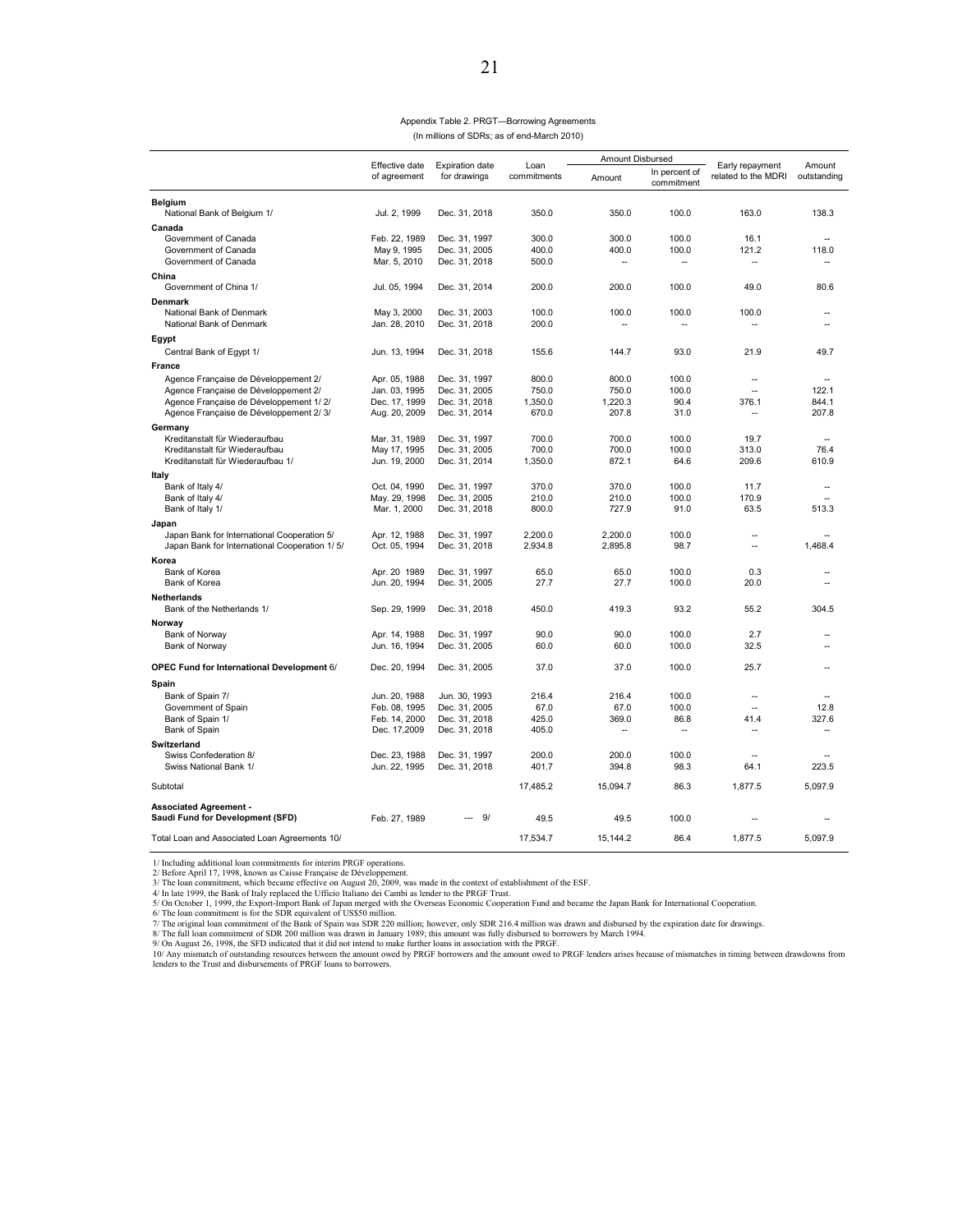#### Appendix Table 2. PRGT—Borrowing Agreements (In millions of SDRs; as of end-March 2010)

|                                                   |                                |                                        |                     | Amount Disbursed        |                                  |                                            |                       |
|---------------------------------------------------|--------------------------------|----------------------------------------|---------------------|-------------------------|----------------------------------|--------------------------------------------|-----------------------|
|                                                   | Effective date<br>of agreement | <b>Expiration date</b><br>for drawings | Loan<br>commitments | Amount                  | In percent of<br>commitment      | Early repayment<br>related to the MDRI     | Amount<br>outstanding |
| Belgium                                           |                                |                                        |                     |                         |                                  |                                            |                       |
| National Bank of Belgium 1/                       | Jul. 2, 1999                   | Dec. 31, 2018                          | 350.0               | 350.0                   | 100.0                            | 163.0                                      | 138.3                 |
| Canada                                            |                                |                                        |                     |                         |                                  |                                            |                       |
| Government of Canada                              | Feb. 22, 1989                  | Dec. 31, 1997                          | 300.0               | 300.0                   | 100.0                            | 16.1                                       |                       |
| Government of Canada                              | May 9, 1995                    | Dec. 31, 2005                          | 400.0               | 400.0                   | 100.0                            | 121.2                                      | 118.0                 |
| Government of Canada                              | Mar. 5, 2010                   | Dec. 31, 2018                          | 500.0               | --                      | $\overline{\phantom{a}}$         | $\sim$                                     | $\overline{a}$        |
| China                                             |                                |                                        |                     |                         |                                  |                                            |                       |
| Government of China 1/                            | Jul. 05, 1994                  | Dec. 31, 2014                          | 200.0               | 200.0                   | 100.0                            | 49.0                                       | 80.6                  |
| Denmark                                           |                                |                                        |                     |                         |                                  |                                            |                       |
| National Bank of Denmark                          | May 3, 2000                    | Dec. 31, 2003                          | 100.0               | 100.0                   | 100.0                            | 100.0                                      | ٠.                    |
| National Bank of Denmark                          | Jan. 28, 2010                  | Dec. 31, 2018                          | 200.0               |                         | --                               |                                            |                       |
| Egypt                                             |                                |                                        |                     |                         |                                  |                                            |                       |
| Central Bank of Egypt 1/                          | Jun. 13, 1994                  | Dec. 31, 2018                          | 155.6               | 144.7                   | 93.0                             | 21.9                                       | 49.7                  |
| France                                            |                                |                                        |                     |                         |                                  |                                            |                       |
| Agence Française de Développement 2/              | Apr. 05, 1988                  | Dec. 31, 1997                          | 800.0               | 800.0                   | 100.0                            | $\sim$                                     |                       |
| Agence Française de Développement 2/              | Jan. 03, 1995                  | Dec. 31, 2005                          | 750.0               | 750.0                   | 100.0                            |                                            | 122.1                 |
| Agence Française de Développement 1/2/            | Dec. 17, 1999                  | Dec. 31, 2018                          | 1,350.0             | 1,220.3                 | 90.4                             | 376.1                                      | 844.1                 |
| Agence Française de Développement 2/3/            | Aug. 20, 2009                  | Dec. 31, 2014                          | 670.0               | 207.8                   | 31.0                             | $\overline{\phantom{a}}$                   | 207.8                 |
| Germany                                           |                                |                                        |                     |                         |                                  |                                            |                       |
| Kreditanstalt für Wiederaufbau                    | Mar. 31, 1989                  | Dec. 31, 1997                          | 700.0               | 700.0                   | 100.0                            | 19.7                                       | $\overline{a}$        |
| Kreditanstalt für Wiederaufbau                    | May 17, 1995                   | Dec. 31, 2005                          | 700.0               | 700.0                   | 100.0                            | 313.0                                      | 76.4                  |
| Kreditanstalt für Wiederaufbau 1/                 | Jun. 19, 2000                  | Dec. 31, 2014                          | 1,350.0             | 872.1                   | 64.6                             | 209.6                                      | 610.9                 |
| Italy                                             |                                |                                        |                     |                         |                                  |                                            |                       |
| Bank of Italy 4/                                  | Oct. 04, 1990                  | Dec. 31, 1997                          | 370.0               | 370.0                   | 100.0                            | 11.7                                       | ٠.                    |
| Bank of Italy 4/                                  | May. 29, 1998                  | Dec. 31, 2005                          | 210.0               | 210.0                   | 100.0                            | 170.9                                      |                       |
| Bank of Italy 1/                                  | Mar. 1, 2000                   | Dec. 31, 2018                          | 800.0               | 727.9                   | 91.0                             | 63.5                                       | 513.3                 |
| Japan                                             |                                |                                        |                     |                         |                                  |                                            |                       |
| Japan Bank for International Cooperation 5/       | Apr. 12, 1988                  | Dec. 31, 1997                          | 2,200.0             | 2.200.0                 | 100.0                            |                                            |                       |
| Japan Bank for International Cooperation 1/5/     | Oct. 05, 1994                  | Dec. 31, 2018                          | 2,934.8             | 2,895.8                 | 98.7                             | Ξ.                                         | 1.468.4               |
|                                                   |                                |                                        |                     |                         |                                  |                                            |                       |
| Korea<br>Bank of Korea                            | Apr. 20 1989                   | Dec. 31, 1997                          | 65.0                | 65.0                    | 100.0                            | 0.3                                        |                       |
| Bank of Korea                                     | Jun. 20, 1994                  | Dec. 31, 2005                          | 27.7                | 27.7                    | 100.0                            | 20.0                                       | ٠.                    |
|                                                   |                                |                                        |                     |                         |                                  |                                            |                       |
| Netherlands                                       |                                |                                        | 450.0               | 419.3                   | 93.2                             | 55.2                                       | 304.5                 |
| Bank of the Netherlands 1/                        | Sep. 29, 1999                  | Dec. 31, 2018                          |                     |                         |                                  |                                            |                       |
| Norway                                            |                                |                                        |                     |                         |                                  |                                            |                       |
| Bank of Norway                                    | Apr. 14, 1988                  | Dec. 31, 1997                          | 90.0                | 90.0                    | 100.0                            | 2.7                                        |                       |
| Bank of Norway                                    | Jun. 16, 1994                  | Dec. 31, 2005                          | 60.0                | 60.0                    | 100.0                            | 32.5                                       |                       |
| <b>OPEC Fund for International Development 6/</b> | Dec. 20, 1994                  | Dec. 31, 2005                          | 37.0                | 37.0                    | 100.0                            | 25.7                                       | ٠.                    |
|                                                   |                                |                                        |                     |                         |                                  |                                            |                       |
| Spain                                             |                                |                                        |                     |                         |                                  |                                            |                       |
| Bank of Spain 7/                                  | Jun. 20, 1988                  | Jun. 30, 1993                          | 216.4               | 216.4                   | 100.0                            | $\overline{\phantom{a}}$<br>$\overline{a}$ |                       |
| Government of Spain                               | Feb. 08, 1995                  | Dec. 31, 2005                          | 67.0<br>425.0       | 67.0                    | 100.0                            |                                            | 12.8                  |
| Bank of Spain 1/<br>Bank of Spain                 | Feb. 14, 2000<br>Dec. 17,2009  | Dec. 31, 2018<br>Dec. 31, 2018         | 405.0               | 369.0<br>$\overline{a}$ | 86.8<br>$\overline{\phantom{a}}$ | 41.4<br>$\overline{\phantom{a}}$           | 327.6<br>$\sim$       |
|                                                   |                                |                                        |                     |                         |                                  |                                            |                       |
| Switzerland<br>Swiss Confederation 8/             | Dec. 23, 1988                  |                                        | 200.0               | 200.0                   | 100.0                            | $\sim$                                     |                       |
| Swiss National Bank 1/                            | Jun. 22, 1995                  | Dec. 31, 1997<br>Dec. 31, 2018         | 401.7               | 394.8                   | 98.3                             | 64.1                                       | 223.5                 |
|                                                   |                                |                                        |                     |                         |                                  |                                            |                       |
| Subtotal                                          |                                |                                        | 17,485.2            | 15,094.7                | 86.3                             | 1,877.5                                    | 5,097.9               |
| <b>Associated Agreement -</b>                     |                                |                                        |                     |                         |                                  |                                            |                       |
| Saudi Fund for Development (SFD)                  | Feb. 27, 1989                  | 9/                                     | 49.5                | 49.5                    | 100.0                            |                                            |                       |
| Total Loan and Associated Loan Agreements 10/     |                                |                                        | 17,534.7            | 15,144.2                | 86.4                             | 1,877.5                                    | 5,097.9               |

1/ Including additional loan commitments for interim PRGF operations.<br>2/ Before April 17, 1998, known as Caise Française de Développement.<br>3/ The loan commitment, which became effective on August 20, 2009, was made in the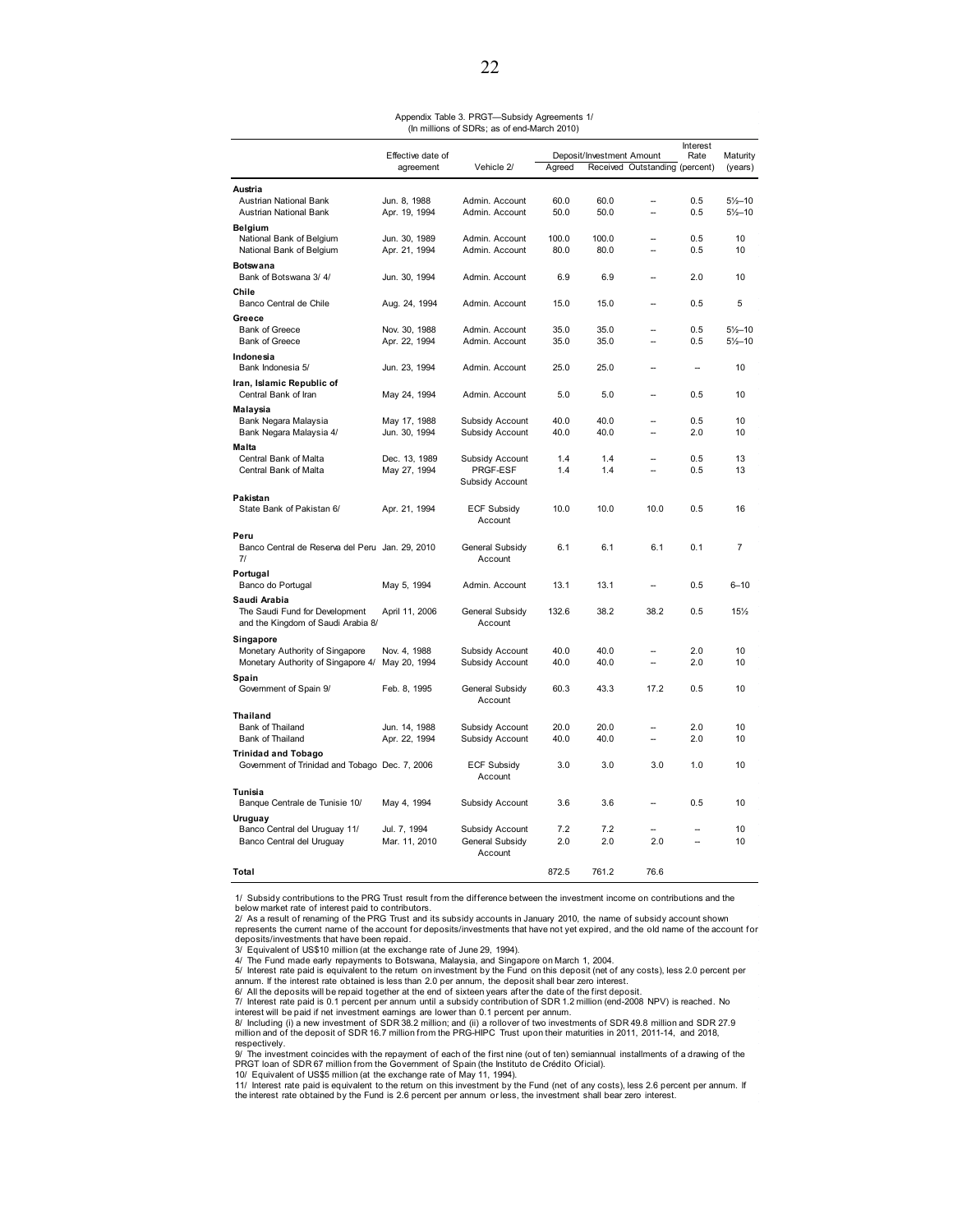#### Appendix Table 3. PRGT—Subsidy Agreements 1/ (In millions of SDRs; as of end-March 2010)

|                                                 |                               |                             |            |                           |                                | Interest                 |                     |
|-------------------------------------------------|-------------------------------|-----------------------------|------------|---------------------------|--------------------------------|--------------------------|---------------------|
|                                                 | Effective date of             |                             |            | Deposit/Investment Amount |                                | Rate                     | Maturity            |
|                                                 | agreement                     | Vehicle 2/                  | Agreed     |                           | Received Outstanding (percent) |                          | (years)             |
| Austria                                         |                               |                             |            |                           |                                |                          |                     |
| <b>Austrian National Bank</b>                   | Jun. 8, 1988                  | Admin, Account              | 60.0       | 60.0                      | $\overline{\phantom{a}}$       | 0.5                      | $5\frac{1}{2}$ -10  |
| Austrian National Bank                          | Apr. 19, 1994                 | Admin. Account              | 50.0       | 50.0                      | ä,                             | 0.5                      | $5\frac{1}{2} - 10$ |
| Belgium                                         |                               |                             |            |                           |                                |                          |                     |
| National Bank of Belgium                        | Jun. 30, 1989                 | Admin, Account              | 100.0      | 100.0                     | --                             | 0.5                      | 10                  |
| National Bank of Belgium                        | Apr. 21, 1994                 | Admin. Account              | 80.0       | 80.0                      |                                | 0.5                      | 10                  |
| <b>Botswana</b>                                 |                               |                             |            |                           |                                |                          |                     |
| Bank of Botswana 3/4/                           | Jun. 30, 1994                 | Admin. Account              | 6.9        | 6.9                       |                                | 2.0                      | 10                  |
| Chile                                           |                               |                             |            |                           |                                |                          |                     |
| Banco Central de Chile                          | Aug. 24, 1994                 | Admin. Account              | 15.0       | 15.0                      | $\sim$                         | 0.5                      | 5                   |
| Greece                                          |                               |                             |            |                           |                                |                          |                     |
| <b>Bank of Greece</b>                           | Nov. 30, 1988                 | Admin, Account              | 35.0       | 35.0                      |                                | 0.5                      | $5\frac{1}{2} - 10$ |
| <b>Bank of Greece</b>                           | Apr. 22, 1994                 | Admin. Account              | 35.0       | 35.0                      |                                | 0.5                      | $5\frac{1}{2} - 10$ |
| Indonesia                                       |                               |                             |            |                           |                                |                          |                     |
| Bank Indonesia 5/                               | Jun. 23, 1994                 | Admin. Account              | 25.0       | 25.0                      | -                              | $\overline{\phantom{a}}$ | 10                  |
| Iran, Islamic Republic of                       |                               |                             |            |                           |                                |                          |                     |
| Central Bank of Iran                            | May 24, 1994                  | Admin, Account              | 5.0        | 5.0                       |                                | 0.5                      | 10                  |
| Malaysia                                        |                               |                             |            |                           |                                |                          |                     |
| Bank Negara Malaysia                            | May 17, 1988                  | Subsidy Account             | 40.0       | 40.0                      |                                | 0.5                      | 10                  |
| Bank Negara Malaysia 4/                         | Jun. 30, 1994                 | Subsidy Account             | 40.0       | 40.0                      | -                              | 2.0                      | 10                  |
| Malta                                           |                               |                             |            |                           |                                |                          |                     |
| Central Bank of Malta<br>Central Bank of Malta  | Dec. 13, 1989<br>May 27, 1994 | Subsidy Account<br>PRGF-ESF | 1.4<br>1.4 | 1.4<br>1.4                |                                | 0.5<br>0.5               | 13<br>13            |
|                                                 |                               | Subsidy Account             |            |                           |                                |                          |                     |
|                                                 |                               |                             |            |                           |                                |                          |                     |
| Pakistan<br>State Bank of Pakistan 6/           | Apr. 21, 1994                 | <b>ECF Subsidy</b>          | 10.0       | 10.0                      | 10.0                           | 0.5                      | 16                  |
|                                                 |                               | Account                     |            |                           |                                |                          |                     |
| Peru                                            |                               |                             |            |                           |                                |                          |                     |
| Banco Central de Reserva del Peru Jan. 29, 2010 |                               | General Subsidy             | 6.1        | 6.1                       | 6.1                            | 0.1                      | $\overline{7}$      |
| 71                                              |                               | Account                     |            |                           |                                |                          |                     |
| Portugal                                        |                               |                             |            |                           |                                |                          |                     |
| Banco do Portugal                               | May 5, 1994                   | Admin. Account              | 13.1       | 13.1                      | --                             | 0.5                      | $6 - 10$            |
| Saudi Arabia                                    |                               |                             |            |                           |                                |                          |                     |
| The Saudi Fund for Development                  | April 11, 2006                | General Subsidy             | 132.6      | 38.2                      | 38.2                           | 0.5                      | 15%                 |
| and the Kingdom of Saudi Arabia 8/              |                               | Account                     |            |                           |                                |                          |                     |
| Singapore                                       |                               |                             |            |                           |                                |                          |                     |
| Monetary Authority of Singapore                 | Nov. 4, 1988                  | Subsidy Account             | 40.0       | 40.0                      |                                | 2.0                      | 10                  |
| Monetary Authority of Singapore 4/              | May 20, 1994                  | Subsidy Account             | 40.0       | 40.0                      | $\overline{a}$                 | 2.0                      | 10                  |
| Spain                                           |                               |                             |            |                           |                                |                          |                     |
| Government of Spain 9/                          | Feb. 8, 1995                  | General Subsidy             | 60.3       | 43.3                      | 17.2                           | 0.5                      | 10                  |
|                                                 |                               | Account                     |            |                           |                                |                          |                     |
| <b>Thailand</b>                                 |                               |                             |            |                           |                                |                          |                     |
| Bank of Thailand                                | Jun. 14, 1988                 | Subsidy Account             | 20.0       | 20.0                      |                                | 2.0                      | 10                  |
| Bank of Thailand                                | Apr. 22, 1994                 | Subsidy Account             | 40.0       | 40.0                      | --                             | 2.0                      | 10                  |
| <b>Trinidad and Tobago</b>                      |                               |                             |            |                           |                                |                          |                     |
| Government of Trinidad and Tobago Dec. 7, 2006  |                               | <b>ECF Subsidy</b>          | 3.0        | 3.0                       | 3.0                            | 1.0                      | 10                  |
|                                                 |                               | Account                     |            |                           |                                |                          |                     |
| Tunisia                                         |                               |                             |            |                           |                                |                          |                     |
| Banque Centrale de Tunisie 10/                  | May 4, 1994                   | Subsidy Account             | 3.6        | 3.6                       | -                              | 0.5                      | 10                  |
| Uruguay                                         |                               |                             |            |                           |                                |                          |                     |
| Banco Central del Uruguay 11/                   | Jul. 7, 1994                  | Subsidy Account             | 7.2        | 7.2                       |                                |                          | 10                  |
| Banco Central del Uruguay                       | Mar. 11, 2010                 | General Subsidy<br>Account  | 2.0        | 2.0                       | 2.0                            |                          | 10                  |
|                                                 |                               |                             |            |                           |                                |                          |                     |
| Total                                           |                               |                             | 872.5      | 761.2                     | 76.6                           |                          |                     |

1/ Subsidy contributions to the PRG Trust result from the difference between the investment income on contributions and the below market rate of interest paid to contributors.

2/ As a result of renaming of the PRG Trust and its subsidy accounts in January 2010, the name of subsidy account shown<br>represents the current name of the account for deposits/investments that have not yet expired, and the

deposits/investments that have been repaid. 3/ Equivalent of US\$10 million (at the exchange rate of June 29, 1994).

4/ The Fund made early repayments to Botswana, Malaysia, and Singapore on March 1, 2004.<br>5/ Interest rate paid is equivalent to the retum on investment by the Fund on this deposit (net of any costs), less 2.0 percent per<br>a

6/ All the deposits will be repaid together at the end of sixteen years after the date of the first deposit.<br>7/ Interest rate paid is 0.1 percent per annum until a subsidy contribution of SDR 1.2 million (end-2008 NPV) is

respectively. 9/ The investment coincides with the repayment of each of the first nine (out of ten) semiannual installments of a drawing of the PRGT loan of SDR 67 million from the Government of Spain (the Instituto de Crédito Oficial).

10/ Equivalent of US\$5 million (at the exchange rate of May 11, 1994). 11/ Interest rate paid is equivalent to the return on this investment by the Fund (net of any costs), less 2.6 percent per annum. If the interest rate obtained by the Fund is 2.6 percent per annum or less, the investment shall bear zero interest.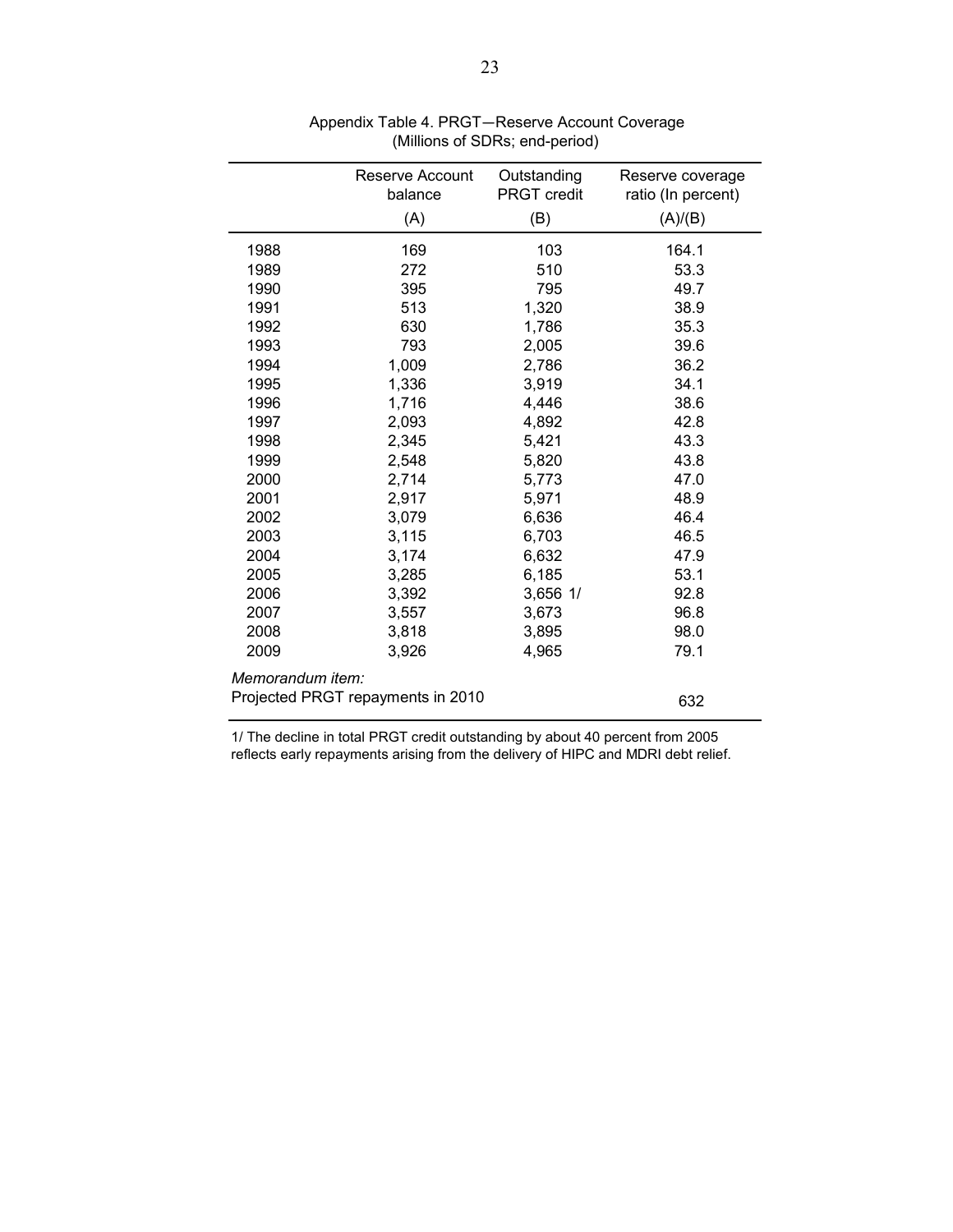|                  | Reserve Account                   | Outstanding |                                        |
|------------------|-----------------------------------|-------------|----------------------------------------|
|                  | balance                           | PRGT credit | Reserve coverage<br>ratio (In percent) |
|                  |                                   |             |                                        |
|                  | (A)                               | (B)         | (A)/(B)                                |
| 1988             | 169                               | 103         | 164.1                                  |
| 1989             | 272                               | 510         | 53.3                                   |
| 1990             | 395                               | 795         | 49.7                                   |
| 1991             | 513                               | 1,320       | 38.9                                   |
| 1992             | 630                               | 1,786       | 35.3                                   |
| 1993             | 793                               | 2,005       | 39.6                                   |
| 1994             | 1,009                             | 2,786       | 36.2                                   |
| 1995             | 1,336                             | 3,919       | 34.1                                   |
| 1996             | 1,716                             | 4,446       | 38.6                                   |
| 1997             | 2,093                             | 4,892       | 42.8                                   |
| 1998             | 2,345                             | 5,421       | 43.3                                   |
| 1999             | 2,548                             | 5,820       | 43.8                                   |
| 2000             | 2,714                             | 5,773       | 47.0                                   |
| 2001             | 2,917                             | 5,971       | 48.9                                   |
| 2002             | 3,079                             | 6,636       | 46.4                                   |
| 2003             | 3,115                             | 6,703       | 46.5                                   |
| 2004             | 3,174                             | 6,632       | 47.9                                   |
| 2005             | 3,285                             | 6,185       | 53.1                                   |
| 2006             | 3,392                             | 3,656 1/    | 92.8                                   |
| 2007             | 3,557                             | 3,673       | 96.8                                   |
| 2008             | 3,818                             | 3,895       | 98.0                                   |
| 2009             | 3,926                             | 4,965       | 79.1                                   |
| Memorandum item: |                                   |             |                                        |
|                  | Projected PRGT repayments in 2010 |             | 632                                    |

 Appendix Table 4. PRGT—Reserve Account Coverage (Millions of SDRs; end-period)

1/ The decline in total PRGT credit outstanding by about 40 percent from 2005 reflects early repayments arising from the delivery of HIPC and MDRI debt relief.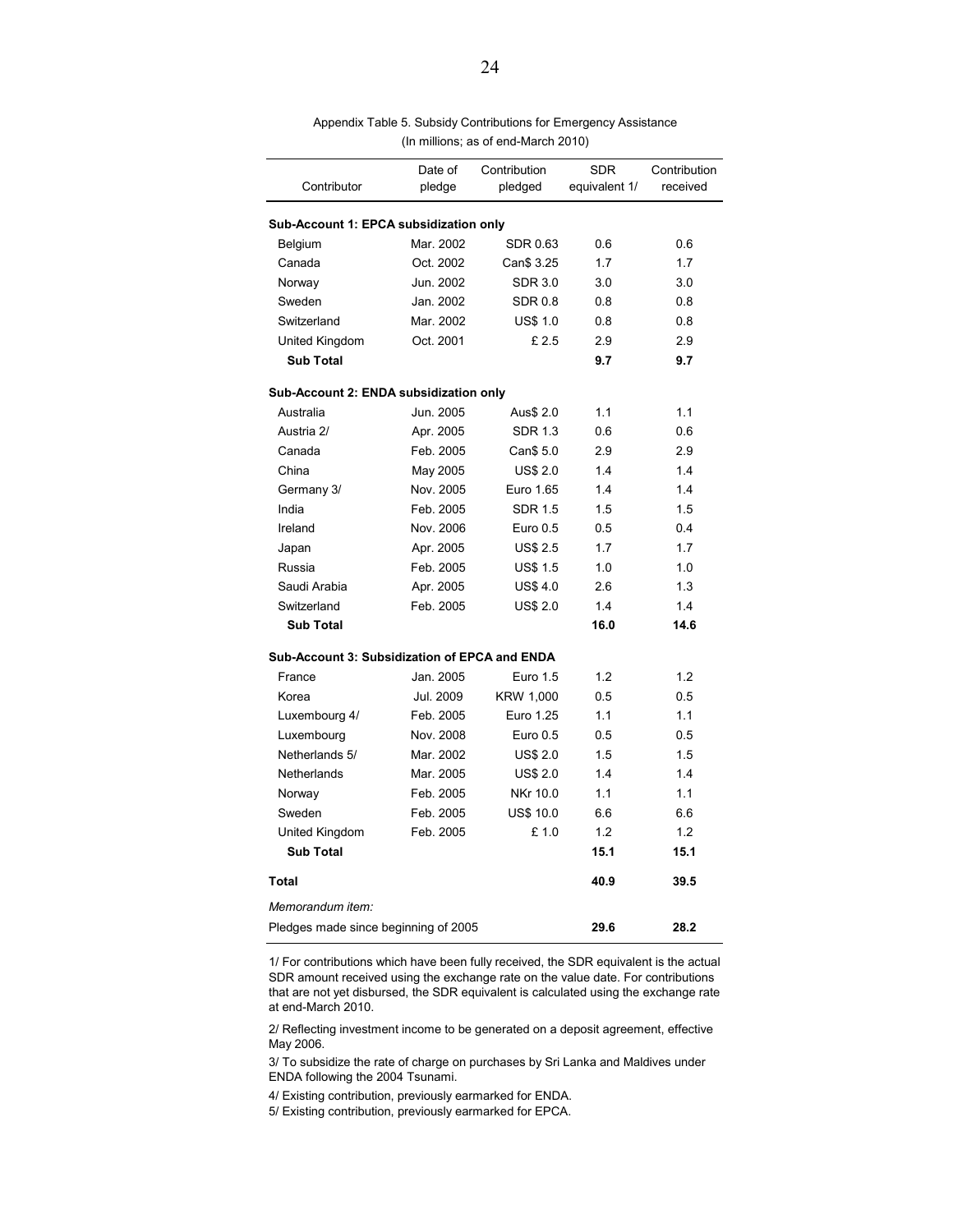| Contributor                                          | Date of<br>pledge | Contribution<br>pledged | <b>SDR</b><br>equivalent 1/ | Contribution<br>received |
|------------------------------------------------------|-------------------|-------------------------|-----------------------------|--------------------------|
| Sub-Account 1: EPCA subsidization only               |                   |                         |                             |                          |
| Belgium                                              | Mar. 2002         | <b>SDR 0.63</b>         | 0.6                         | 0.6                      |
| Canada                                               | Oct. 2002         | Can\$ 3.25              | 1.7                         | 1.7                      |
| Norway                                               | Jun. 2002         | SDR 3.0                 | 3.0                         | 3.0                      |
| Sweden                                               | Jan. 2002         | <b>SDR 0.8</b>          | 0.8                         | 0.8                      |
| Switzerland                                          | Mar. 2002         | <b>US\$ 1.0</b>         | 0.8                         | 0.8                      |
| United Kingdom                                       | Oct. 2001         | £2.5                    | 2.9                         | 2.9                      |
| <b>Sub Total</b>                                     |                   |                         | 9.7                         | 9.7                      |
| Sub-Account 2: ENDA subsidization only               |                   |                         |                             |                          |
| Australia                                            | Jun. 2005         | Aus\$ 2.0               | 1.1                         | 1.1                      |
| Austria 2/                                           | Apr. 2005         | <b>SDR 1.3</b>          | 0.6                         | 0.6                      |
| Canada                                               | Feb. 2005         | Can\$ 5.0               | 2.9                         | 2.9                      |
| China                                                | May 2005          | <b>US\$ 2.0</b>         | 1.4                         | 1.4                      |
| Germany 3/                                           | Nov. 2005         | Euro 1.65               | 1.4                         | 1.4                      |
| India                                                | Feb. 2005         | <b>SDR 1.5</b>          | 1.5                         | 1.5                      |
| Ireland                                              | Nov. 2006         | Euro 0.5                | 0.5                         | 0.4                      |
| Japan                                                | Apr. 2005         | <b>US\$ 2.5</b>         | 1.7                         | 1.7                      |
| Russia                                               | Feb. 2005         | <b>US\$ 1.5</b>         | 1.0                         | 1.0                      |
| Saudi Arabia                                         | Apr. 2005         | <b>US\$4.0</b>          | 2.6                         | 1.3                      |
| Switzerland                                          | Feb. 2005         | <b>US\$ 2.0</b>         | 1.4                         | 1.4                      |
| <b>Sub Total</b>                                     |                   |                         | 16.0                        | 14.6                     |
| <b>Sub-Account 3: Subsidization of EPCA and ENDA</b> |                   |                         |                             |                          |
| France                                               | Jan. 2005         | Euro 1.5                | 1.2                         | 1.2                      |
| Korea                                                | Jul. 2009         | KRW 1,000               | 0.5                         | 0.5                      |
| Luxembourg 4/                                        | Feb. 2005         | Euro 1.25               | 1.1                         | 1.1                      |
| Luxembourg                                           | Nov. 2008         | Euro 0.5                | 0.5                         | 0.5                      |
| Netherlands 5/                                       | Mar. 2002         | <b>US\$ 2.0</b>         | 1.5                         | 1.5                      |
| Netherlands                                          | Mar. 2005         | <b>US\$ 2.0</b>         | 1.4                         | 1.4                      |
| Norway                                               | Feb. 2005         | NKr 10.0                | 1.1                         | 1.1                      |
| Sweden                                               | Feb. 2005         | <b>US\$ 10.0</b>        | 6.6                         | 6.6                      |
| United Kingdom                                       | Feb. 2005         | £1.0                    | 1.2                         | 1.2                      |
| <b>Sub Total</b>                                     |                   |                         | 15.1                        | 15.1                     |
| <b>Total</b>                                         |                   |                         | 40.9                        | 39.5                     |
| Memorandum item:                                     |                   |                         |                             |                          |
| Pledges made since beginning of 2005                 |                   |                         | 29.6                        | 28.2                     |

Appendix Table 5. Subsidy Contributions for Emergency Assistance (In millions; as of end-March 2010)

1/ For contributions which have been fully received, the SDR equivalent is the actual SDR amount received using the exchange rate on the value date. For contributions that are not yet disbursed, the SDR equivalent is calculated using the exchange rate at end-March 2010.

2/ Reflecting investment income to be generated on a deposit agreement, effective May 2006.

3/ To subsidize the rate of charge on purchases by Sri Lanka and Maldives under ENDA following the 2004 Tsunami.

4/ Existing contribution, previously earmarked for ENDA.

5/ Existing contribution, previously earmarked for EPCA.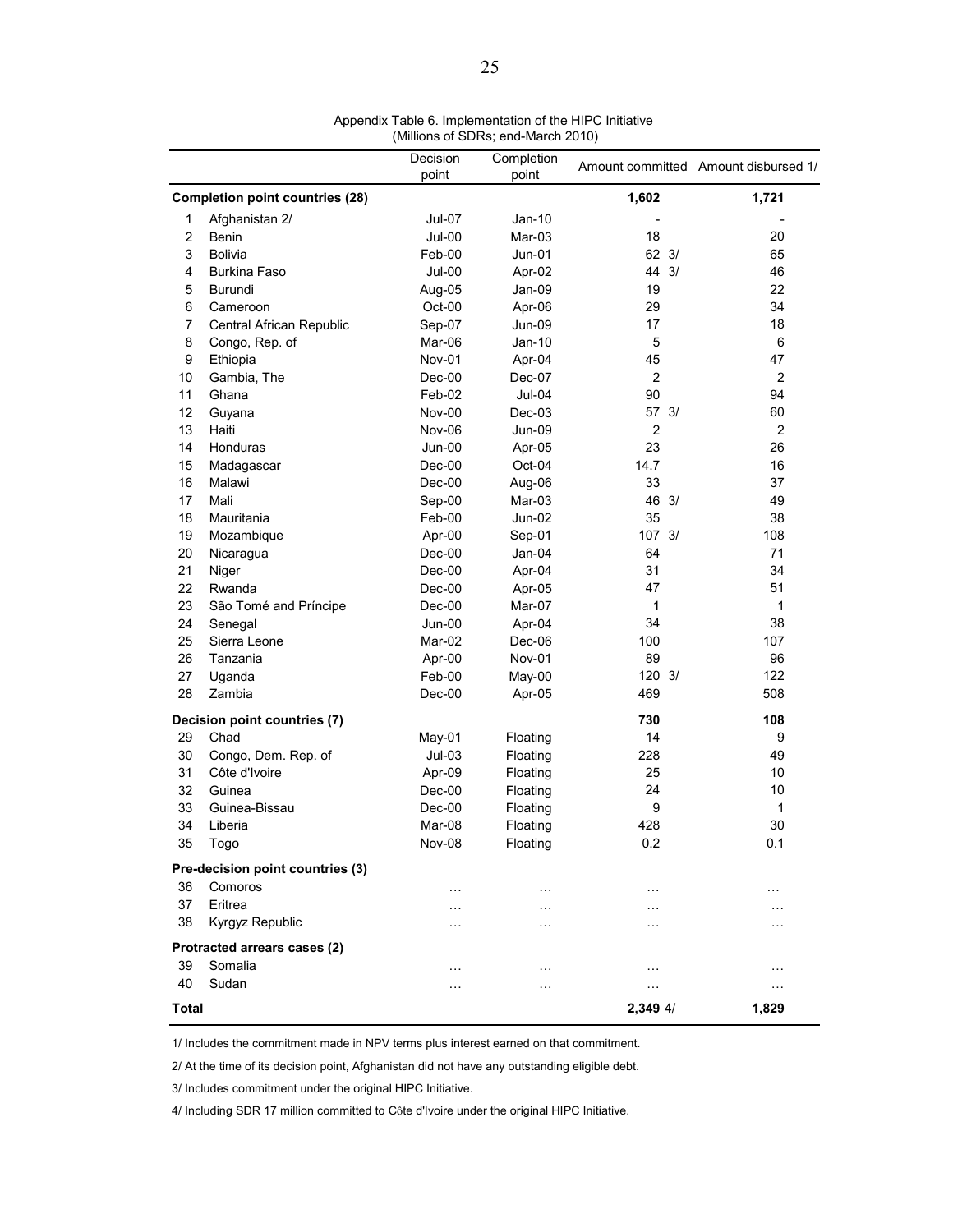|                |                                        | Decision | Completion    |                  |                                      |
|----------------|----------------------------------------|----------|---------------|------------------|--------------------------------------|
|                |                                        | point    | point         |                  | Amount committed Amount disbursed 1/ |
|                | <b>Completion point countries (28)</b> |          |               | 1,602            | 1,721                                |
| 1              | Afghanistan 2/                         | Jul-07   | $Jan-10$      |                  |                                      |
| $\overline{c}$ | Benin                                  | Jul-00   | Mar-03        | 18               | 20                                   |
| 3              | <b>Bolivia</b>                         | Feb-00   | $Jun-01$      | $62 \frac{3}{2}$ | 65                                   |
| 4              | <b>Burkina Faso</b>                    | Jul-00   | Apr-02        | 44 3/            | 46                                   |
| 5              | Burundi                                | Aug-05   | Jan-09        | 19               | 22                                   |
| 6              | Cameroon                               | Oct-00   | Apr-06        | 29               | 34                                   |
| 7              | Central African Republic               | Sep-07   | Jun-09        | 17               | 18                                   |
| 8              | Congo, Rep. of                         | Mar-06   | $Jan-10$      | 5                | 6                                    |
| 9              | Ethiopia                               | Nov-01   | Apr-04        | 45               | 47                                   |
| 10             | Gambia, The                            | Dec-00   | Dec-07        | $\overline{2}$   | $\overline{2}$                       |
| 11             | Ghana                                  | Feb-02   | Jul-04        | 90               | 94                                   |
| 12             | Guyana                                 | Nov-00   | Dec-03        | 57 3/            | 60                                   |
| 13             | Haiti                                  | Nov-06   | <b>Jun-09</b> | $\overline{2}$   | $\overline{2}$                       |
| 14             | Honduras                               | Jun-00   | Apr-05        | 23               | 26                                   |
| 15             | Madagascar                             | Dec-00   | Oct-04        | 14.7             | 16                                   |
| 16             | Malawi                                 | Dec-00   | Aug-06        | 33               | 37                                   |
| 17             | Mali                                   | Sep-00   | Mar-03        | 46 3/            | 49                                   |
| 18             | Mauritania                             | Feb-00   | $Jun-02$      | 35               | 38                                   |
| 19             | Mozambique                             | Apr-00   | Sep-01        | 107 3/           | 108                                  |
| 20             | Nicaragua                              | Dec-00   | Jan-04        | 64               | 71                                   |
| 21             | Niger                                  | Dec-00   | Apr-04        | 31               | 34                                   |
| 22             | Rwanda                                 | Dec-00   | Apr-05        | 47               | 51                                   |
| 23             | São Tomé and Príncipe                  | Dec-00   | Mar-07        | 1                | 1                                    |
| 24             | Senegal                                | Jun-00   | Apr-04        | 34               | 38                                   |
| 25             | Sierra Leone                           | Mar-02   | Dec-06        | 100              | 107                                  |
| 26             | Tanzania                               | Apr-00   | Nov-01        | 89               | 96                                   |
| 27             | Uganda                                 | Feb-00   | May-00        | 120 3/           | 122                                  |
| 28             | Zambia                                 | Dec-00   | Apr-05        | 469              | 508                                  |
|                | Decision point countries (7)           |          |               | 730              | 108                                  |
| 29             | Chad                                   | May-01   | Floating      | 14               | 9                                    |
| 30             | Congo, Dem. Rep. of                    | $Jul-03$ | Floating      | 228              | 49                                   |
| 31             | Côte d'Ivoire                          | Apr-09   | Floating      | 25               | 10                                   |
| 32             | Guinea                                 | Dec-00   | Floating      | 24               | 10                                   |
| 33             | Guinea-Bissau                          | Dec-00   | Floating      | 9                | 1                                    |
| 34             | Liberia                                | Mar-08   | Floating      | 428              | 30                                   |
| 35             | Togo                                   | Nov-08   | Floating      | 0.2              | 0.1                                  |
|                | Pre-decision point countries (3)       |          |               |                  |                                      |
| 36             | Comoros                                | .        | $\cdots$      | .                | .                                    |
| 37             | Eritrea                                |          | $\cdots$      |                  |                                      |
| 38             | Kyrgyz Republic                        |          | $\sim$ $\sim$ | .                |                                      |
|                | Protracted arrears cases (2)           |          |               |                  |                                      |
| 39             | Somalia                                |          | $\ddotsc$     | $\ddotsc$        |                                      |
| 40             | Sudan                                  |          | .             | $\cdots$         | $\cdots$                             |
| Total          |                                        |          |               | 2,349 4/         | 1,829                                |

Appendix Table 6. Implementation of the HIPC Initiative (Millions of SDRs; end-March 2010)

1/ Includes the commitment made in NPV terms plus interest earned on that commitment.

2/ At the time of its decision point, Afghanistan did not have any outstanding eligible debt.

3/ Includes commitment under the original HIPC Initiative.

4/ Including SDR 17 million committed to Côte d'Ivoire under the original HIPC Initiative.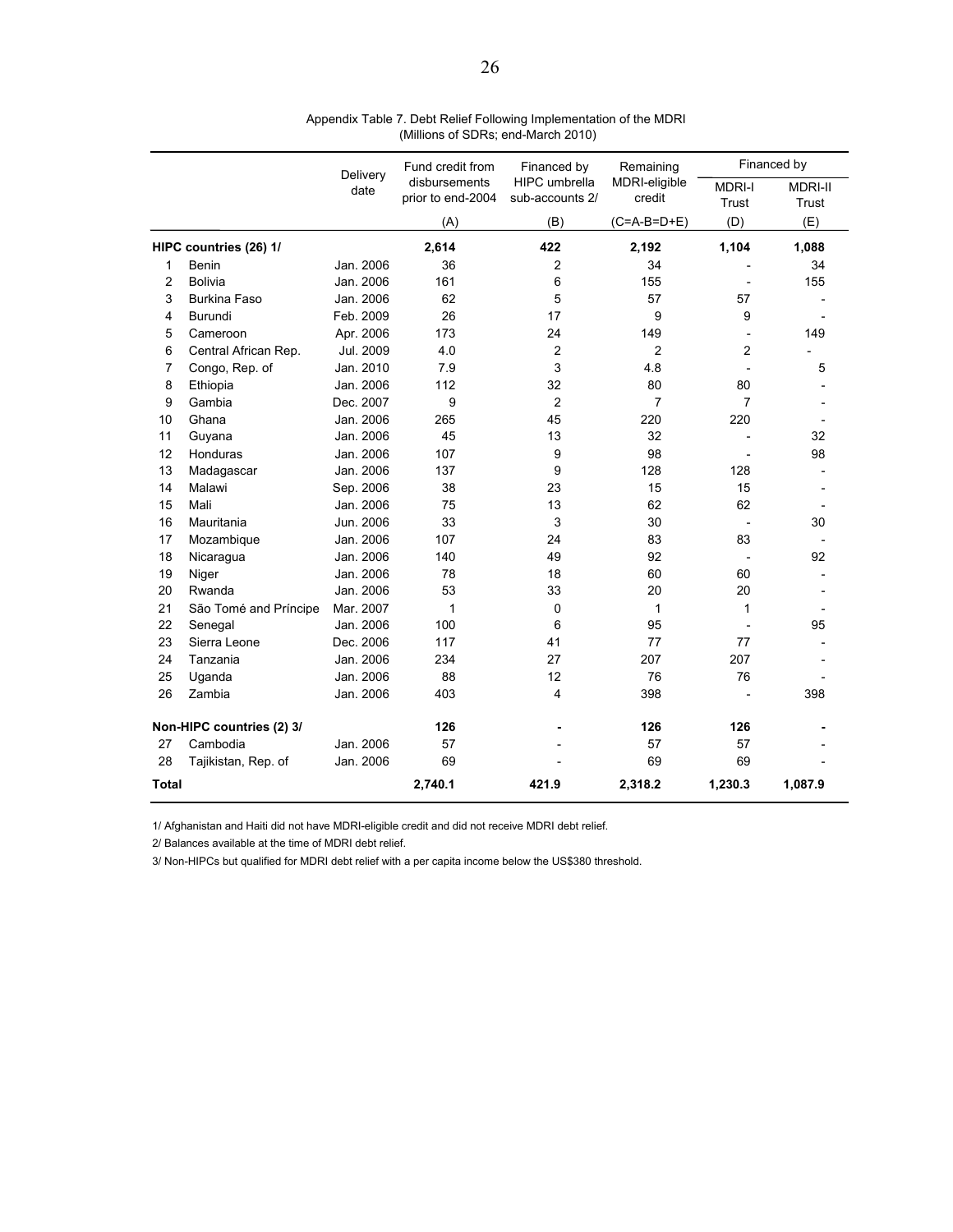|                |                           | Delivery  | Fund credit from                   | Financed by                             | Remaining               |                        | Financed by             |
|----------------|---------------------------|-----------|------------------------------------|-----------------------------------------|-------------------------|------------------------|-------------------------|
|                |                           | date      | disbursements<br>prior to end-2004 | <b>HIPC</b> umbrella<br>sub-accounts 2/ | MDRI-eligible<br>credit | <b>MDRI-I</b><br>Trust | <b>MDRI-II</b><br>Trust |
|                |                           |           | (A)                                | (B)                                     | $(C=A-B=D+E)$           | (D)                    | (E)                     |
|                | HIPC countries (26) 1/    |           | 2,614                              | 422                                     | 2,192                   | 1,104                  | 1,088                   |
| 1              | Benin                     | Jan. 2006 | 36                                 | 2                                       | 34                      |                        | 34                      |
| $\overline{c}$ | Bolivia                   | Jan. 2006 | 161                                | 6                                       | 155                     |                        | 155                     |
| 3              | <b>Burkina Faso</b>       | Jan. 2006 | 62                                 | 5                                       | 57                      | 57                     |                         |
| 4              | Burundi                   | Feb. 2009 | 26                                 | 17                                      | 9                       | 9                      |                         |
| 5              | Cameroon                  | Apr. 2006 | 173                                | 24                                      | 149                     |                        | 149                     |
| 6              | Central African Rep.      | Jul. 2009 | 4.0                                | $\overline{2}$                          | $\overline{2}$          | 2                      |                         |
| 7              | Congo, Rep. of            | Jan. 2010 | 7.9                                | 3                                       | 4.8                     |                        | 5                       |
| 8              | Ethiopia                  | Jan. 2006 | 112                                | 32                                      | 80                      | 80                     |                         |
| 9              | Gambia                    | Dec. 2007 | 9                                  | $\overline{2}$                          | $\overline{7}$          | $\overline{7}$         |                         |
| 10             | Ghana                     | Jan. 2006 | 265                                | 45                                      | 220                     | 220                    |                         |
| 11             | Guyana                    | Jan. 2006 | 45                                 | 13                                      | 32                      |                        | 32                      |
| 12             | Honduras                  | Jan. 2006 | 107                                | 9                                       | 98                      |                        | 98                      |
| 13             | Madagascar                | Jan. 2006 | 137                                | 9                                       | 128                     | 128                    |                         |
| 14             | Malawi                    | Sep. 2006 | 38                                 | 23                                      | 15                      | 15                     |                         |
| 15             | Mali                      | Jan. 2006 | 75                                 | 13                                      | 62                      | 62                     |                         |
| 16             | Mauritania                | Jun. 2006 | 33                                 | 3                                       | 30                      |                        | 30                      |
| 17             | Mozambique                | Jan. 2006 | 107                                | 24                                      | 83                      | 83                     |                         |
| 18             | Nicaragua                 | Jan. 2006 | 140                                | 49                                      | 92                      |                        | 92                      |
| 19             | Niger                     | Jan. 2006 | 78                                 | 18                                      | 60                      | 60                     |                         |
| 20             | Rwanda                    | Jan. 2006 | 53                                 | 33                                      | 20                      | 20                     |                         |
| 21             | São Tomé and Príncipe     | Mar. 2007 | $\mathbf{1}$                       | 0                                       | 1                       | 1                      |                         |
| 22             | Senegal                   | Jan. 2006 | 100                                | 6                                       | 95                      |                        | 95                      |
| 23             | Sierra Leone              | Dec. 2006 | 117                                | 41                                      | 77                      | 77                     |                         |
| 24             | Tanzania                  | Jan. 2006 | 234                                | 27                                      | 207                     | 207                    |                         |
| 25             | Uganda                    | Jan. 2006 | 88                                 | 12                                      | 76                      | 76                     |                         |
| 26             | Zambia                    | Jan. 2006 | 403                                | 4                                       | 398                     |                        | 398                     |
|                | Non-HIPC countries (2) 3/ |           | 126                                |                                         | 126                     | 126                    |                         |
| 27             | Cambodia                  | Jan. 2006 | 57                                 |                                         | 57                      | 57                     |                         |
| 28             | Tajikistan, Rep. of       | Jan. 2006 | 69                                 |                                         | 69                      | 69                     |                         |
| Total          |                           |           | 2,740.1                            | 421.9                                   | 2,318.2                 | 1,230.3                | 1,087.9                 |

Appendix Table 7. Debt Relief Following Implementation of the MDRI (Millions of SDRs; end-March 2010)

1/ Afghanistan and Haiti did not have MDRI-eligible credit and did not receive MDRI debt relief.

2/ Balances available at the time of MDRI debt relief.

3/ Non-HIPCs but qualified for MDRI debt relief with a per capita income below the US\$380 threshold.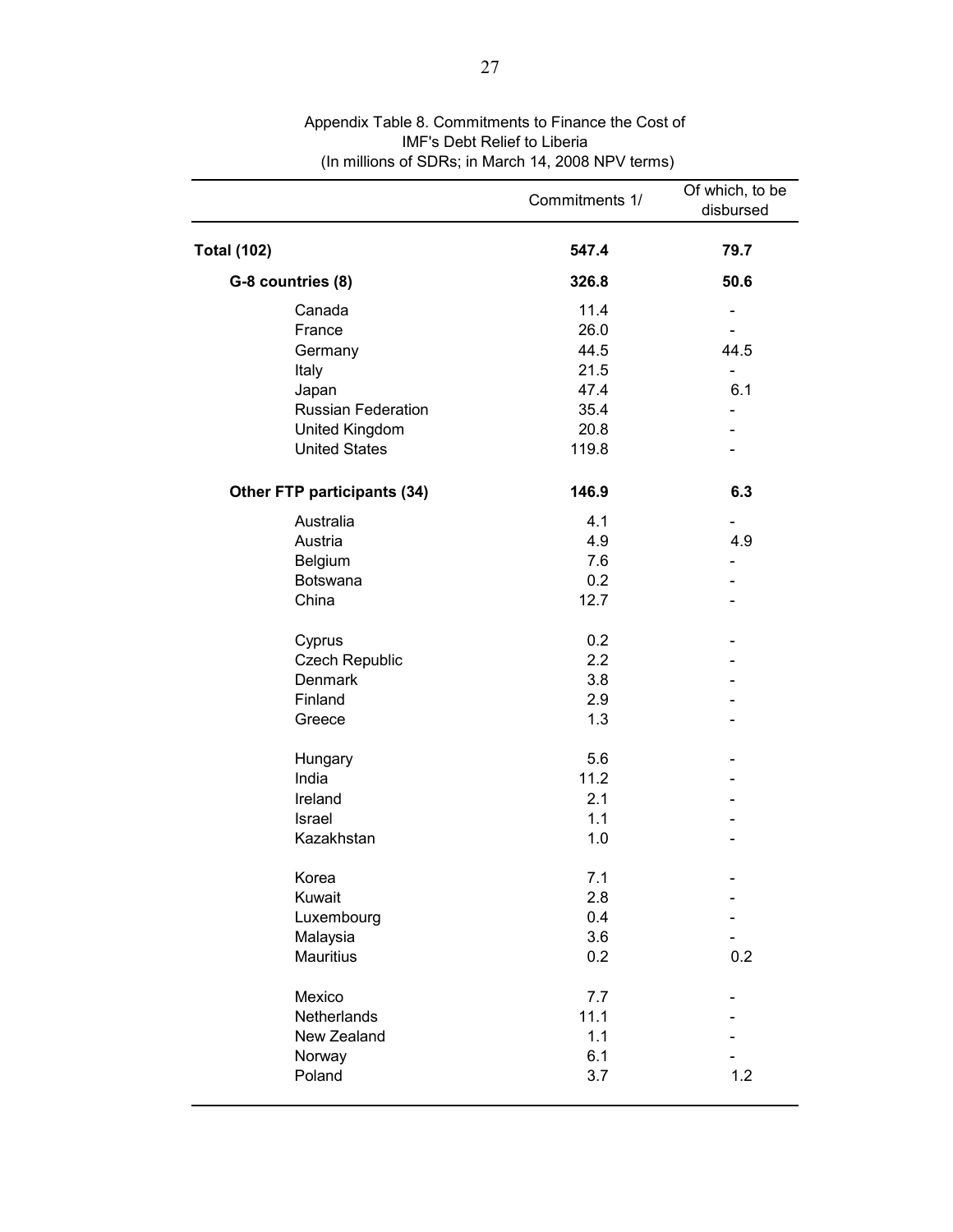|                             | Commitments 1/ | Of which, to be<br>disbursed |
|-----------------------------|----------------|------------------------------|
| <b>Total (102)</b>          | 547.4          | 79.7                         |
| G-8 countries (8)           | 326.8          | 50.6                         |
| Canada                      | 11.4           |                              |
| France                      | 26.0           |                              |
| Germany                     | 44.5           | 44.5                         |
| Italy                       | 21.5           |                              |
| Japan                       | 47.4           | 6.1                          |
| <b>Russian Federation</b>   | 35.4           |                              |
| United Kingdom              | 20.8           |                              |
| <b>United States</b>        | 119.8          |                              |
| Other FTP participants (34) | 146.9          | 6.3                          |
| Australia                   | 4.1            |                              |
| Austria                     | 4.9            | 4.9                          |
| Belgium                     | 7.6            |                              |
| <b>Botswana</b>             | 0.2            |                              |
| China                       | 12.7           |                              |
| Cyprus                      | 0.2            |                              |
| <b>Czech Republic</b>       | 2.2            |                              |
| Denmark                     | 3.8            |                              |
| Finland                     | 2.9            |                              |
| Greece                      | 1.3            |                              |
| Hungary                     | 5.6            |                              |
| India                       | 11.2           |                              |
| Ireland                     | 2.1            |                              |
| Israel                      | 1.1            |                              |
| Kazakhstan                  | 1.0            |                              |
| Korea                       | 7.1            |                              |
| Kuwait                      | 2.8            |                              |
| Luxembourg                  | 0.4            |                              |
| Malaysia                    | 3.6            |                              |
| <b>Mauritius</b>            | 0.2            | 0.2                          |
| Mexico                      | 7.7            |                              |
| Netherlands                 | 11.1           |                              |
| New Zealand                 | 1.1            |                              |
| Norway                      | 6.1            |                              |
| Poland                      | 3.7            | 1.2                          |
|                             |                |                              |

## Appendix Table 8. Commitments to Finance the Cost of IMF's Debt Relief to Liberia (In millions of SDRs; in March 14, 2008 NPV terms)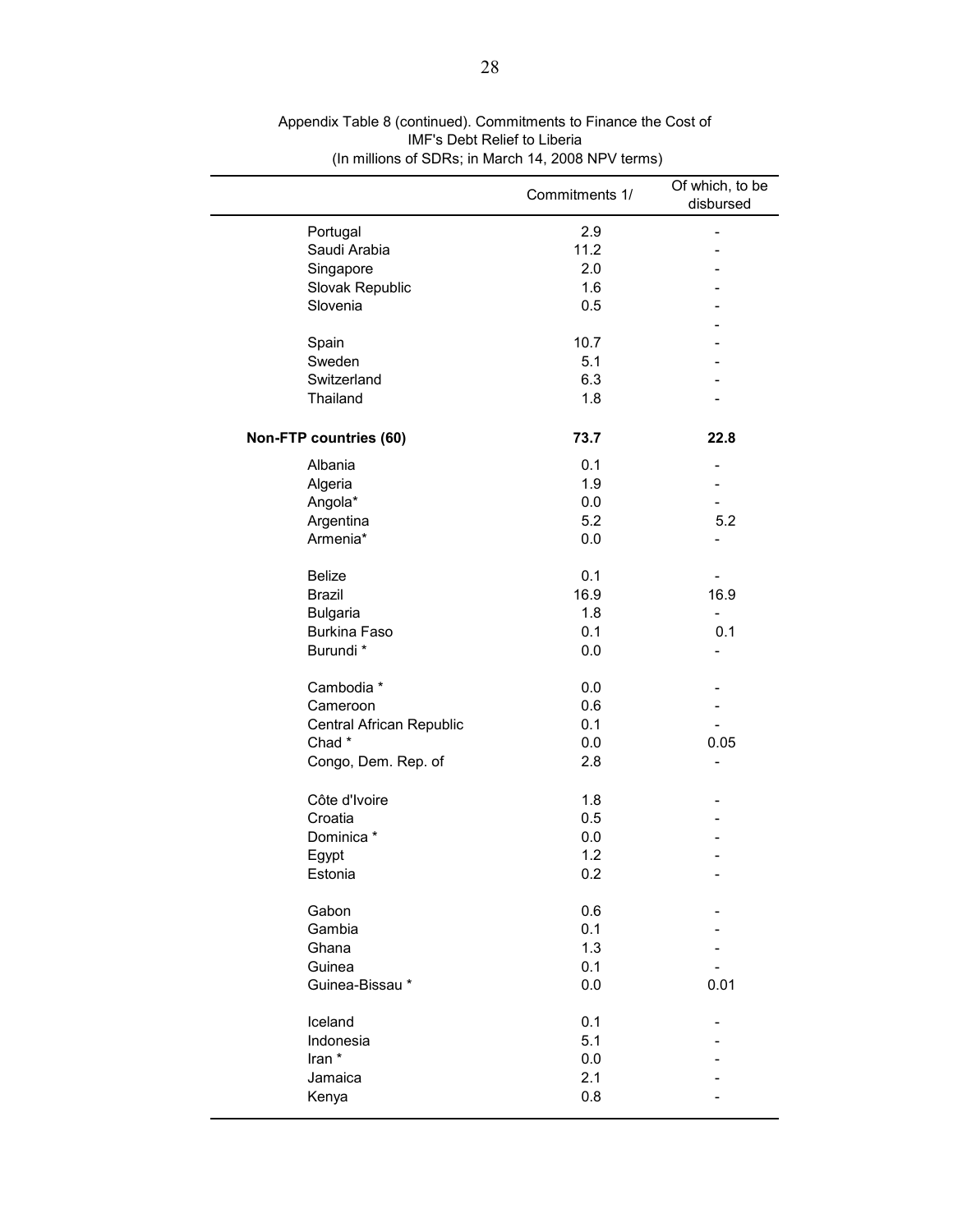|                          | Commitments 1/ | Of which, to be<br>disbursed |
|--------------------------|----------------|------------------------------|
| Portugal                 | 2.9            | -                            |
| Saudi Arabia             | 11.2           |                              |
| Singapore                | 2.0            |                              |
| Slovak Republic          | 1.6            |                              |
| Slovenia                 | 0.5            |                              |
|                          |                |                              |
| Spain                    | 10.7           |                              |
| Sweden                   | 5.1            |                              |
| Switzerland              | 6.3            |                              |
| Thailand                 | 1.8            |                              |
| Non-FTP countries (60)   | 73.7           | 22.8                         |
| Albania                  | 0.1            |                              |
| Algeria                  | 1.9            |                              |
| Angola*                  | 0.0            |                              |
| Argentina                | 5.2            | 5.2                          |
| Armenia*                 | 0.0            |                              |
| <b>Belize</b>            | 0.1            |                              |
| <b>Brazil</b>            | 16.9           | 16.9                         |
| <b>Bulgaria</b>          | 1.8            |                              |
| Burkina Faso             | 0.1            | 0.1                          |
| Burundi *                | 0.0            | $\overline{\phantom{0}}$     |
| Cambodia *               | 0.0            |                              |
| Cameroon                 | 0.6            |                              |
| Central African Republic | 0.1            |                              |
| Chad*                    | 0.0            | 0.05                         |
| Congo, Dem. Rep. of      | 2.8            | -                            |
| Côte d'Ivoire            | 1.8            |                              |
| Croatia                  | 0.5            |                              |
| Dominica *               | 0.0            |                              |
| Egypt                    | 1.2            |                              |
| Estonia                  | 0.2            |                              |
| Gabon                    | 0.6            |                              |
| Gambia                   | 0.1            |                              |
| Ghana                    | 1.3            |                              |
| Guinea                   | 0.1            |                              |
| Guinea-Bissau*           | 0.0            | 0.01                         |
| Iceland                  | 0.1            |                              |
| Indonesia                | 5.1            |                              |
| Iran *                   | 0.0            |                              |
| Jamaica                  | 2.1            |                              |
| Kenya                    | 0.8            |                              |

Appendix Table 8 (continued). Commitments to Finance the Cost of IMF's Debt Relief to Liberia (In millions of SDRs; in March 14, 2008 NPV terms)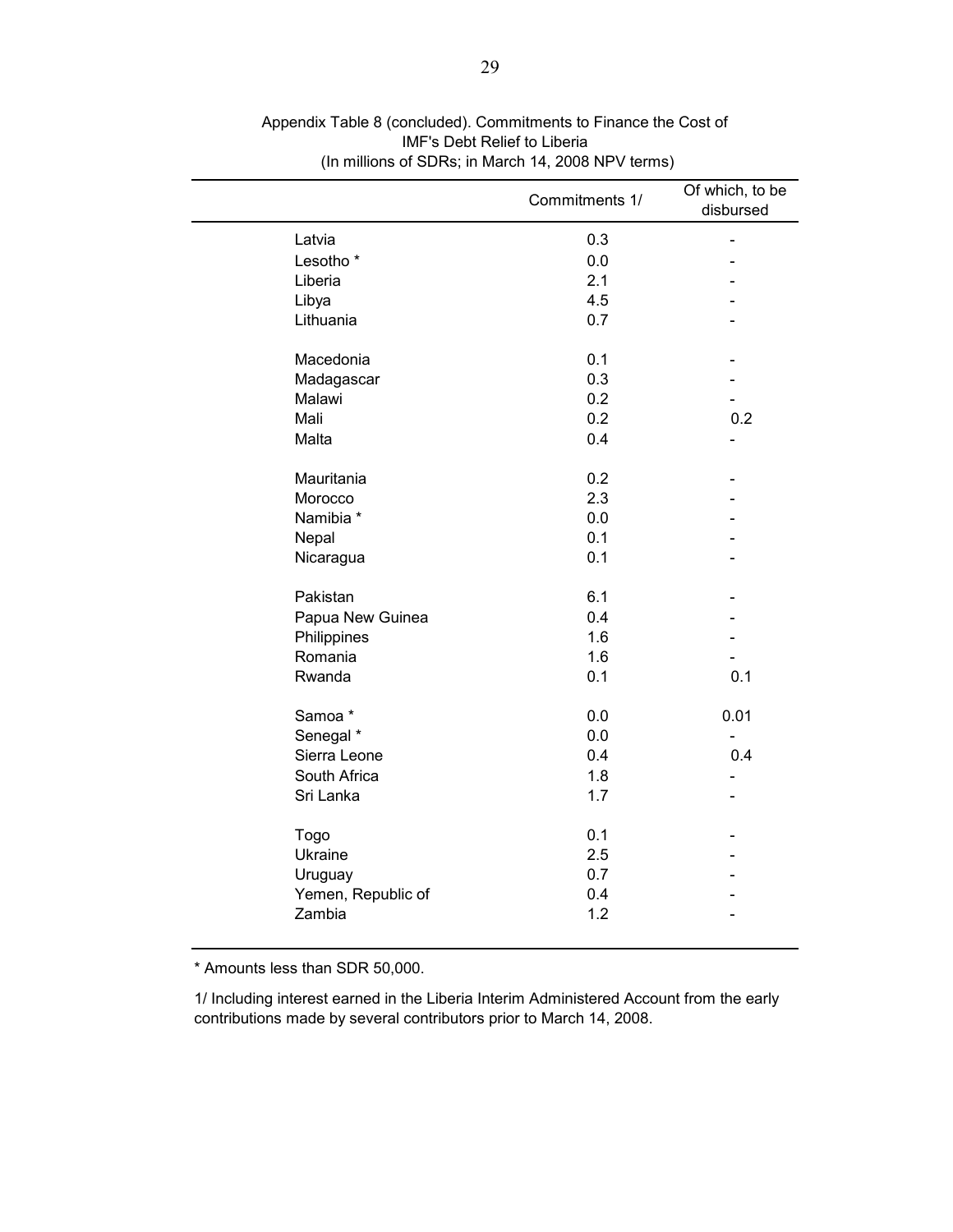|                      | Commitments 1/ | Of which, to be<br>disbursed |
|----------------------|----------------|------------------------------|
| Latvia               | 0.3            | $\blacksquare$               |
| Lesotho <sup>*</sup> | 0.0            |                              |
| Liberia              | 2.1            |                              |
| Libya                | 4.5            |                              |
| Lithuania            | 0.7            |                              |
| Macedonia            | 0.1            |                              |
| Madagascar           | 0.3            |                              |
| Malawi               | 0.2            |                              |
| Mali                 | 0.2            | 0.2                          |
| Malta                | 0.4            | $\blacksquare$               |
| Mauritania           | 0.2            |                              |
| Morocco              | 2.3            |                              |
| Namibia *            | 0.0            |                              |
| Nepal                | 0.1            |                              |
| Nicaragua            | 0.1            |                              |
| Pakistan             | 6.1            |                              |
| Papua New Guinea     | 0.4            |                              |
| Philippines          | 1.6            |                              |
| Romania              | 1.6            |                              |
| Rwanda               | 0.1            | 0.1                          |
| Samoa*               | 0.0            | 0.01                         |
| Senegal *            | 0.0            |                              |
| Sierra Leone         | 0.4            | 0.4                          |
| South Africa         | 1.8            |                              |
| Sri Lanka            | 1.7            |                              |
| Togo                 | 0.1            |                              |
| Ukraine              | 2.5            |                              |
| Uruguay              | 0.7            |                              |
| Yemen, Republic of   | 0.4            |                              |
| Zambia               | 1.2            |                              |

Appendix Table 8 (concluded). Commitments to Finance the Cost of IMF's Debt Relief to Liberia (In millions of SDRs; in March 14, 2008 NPV terms)

\* Amounts less than SDR 50,000.

1/ Including interest earned in the Liberia Interim Administered Account from the early contributions made by several contributors prior to March 14, 2008.